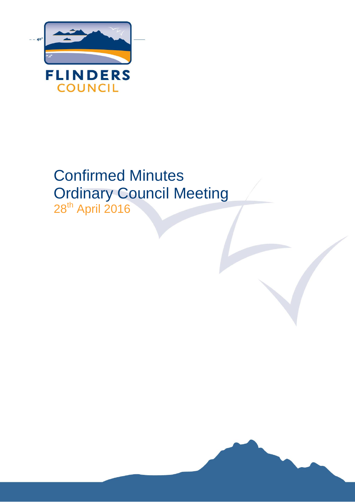

# Confirmed Minutes Ordinary Council Meeting 28<sup>th</sup> April 2016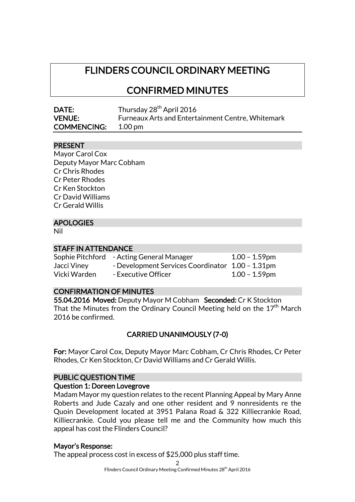## FLINDERS COUNCIL ORDINARY MEETING

CONFIRMED MINUTES

| DATE:              | Thursday 28 <sup>th</sup> April 2016                     |
|--------------------|----------------------------------------------------------|
| <b>VENUE:</b>      | <b>Furneaux Arts and Entertainment Centre, Whitemark</b> |
| <b>COMMENCING:</b> | $1.00 \,\mathrm{pm}$                                     |

## PRESENT

| Mayor Carol Cox          |
|--------------------------|
| Deputy Mayor Marc Cobham |
| <b>Cr Chris Rhodes</b>   |
| Cr Peter Rhodes          |
| Cr Ken Stockton          |
| Cr David Williams        |
| Cr Gerald Willis         |
|                          |

## APOLOGIES

Nil

#### STAFF IN ATTENDANCE

|              | Sophie Pitchford - Acting General Manager        | $1.00 - 1.59$ pm |
|--------------|--------------------------------------------------|------------------|
| Jacci Viney  | - Development Services Coordinator 1.00 - 1.31pm |                  |
| Vicki Warden | - Executive Officer                              | $1.00 - 1.59$ pm |

#### CONFIRMATION OF MINUTES

55.04.2016 Moved: Deputy Mayor M Cobham Seconded: Cr K Stockton That the Minutes from the Ordinary Council Meeting held on the 17 $^{\rm th}$  March 2016 be confirmed.

## CARRIED UNANIMOUSLY (7-0)

For: Mayor Carol Cox, Deputy Mayor Marc Cobham, Cr Chris Rhodes, Cr Peter Rhodes, Cr Ken Stockton, Cr David Williams and Cr Gerald Willis.

#### PUBLIC QUESTION TIME

#### Question 1: Doreen Lovegrove

Madam Mayor my question relates to the recent Planning Appeal by Mary Anne Roberts and Jude Cazaly and one other resident and 9 nonresidents re the Quoin Development located at 3951 Palana Road & 322 Killiecrankie Road, Killiecrankie. Could you please tell me and the Community how much this appeal has cost the Flinders Council?

#### Mayor's Response:

The appeal process cost in excess of \$25,000 plus staff time.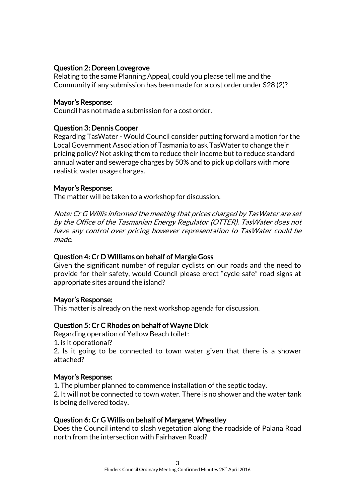## Question 2: Doreen Lovegrove

Relating to the same Planning Appeal, could you please tell me and the Community if any submission has been made for a cost order under S28 (2)?

#### Mayor's Response:

Council has not made a submission for a cost order.

#### Question 3: Dennis Cooper

Regarding TasWater - Would Council consider putting forward a motion for the Local Government Association of Tasmania to ask TasWater to change their pricing policy? Not asking them to reduce their income but to reduce standard annual water and sewerage charges by 50% and to pick up dollars with more realistic water usage charges.

#### Mayor's Response:

The matter will be taken to a workshop for discussion.

Note: Cr G Willis informed the meeting that prices charged by TasWater are set by the Office of the Tasmanian Energy Regulator (OTTER). TasWater does not have any control over pricing however representation to TasWater could be made.

#### Question 4: Cr D Williams on behalf of Margie Goss

Given the significant number of regular cyclists on our roads and the need to provide for their safety, would Council please erect "cycle safe" road signs at appropriate sites around the island?

#### Mayor's Response:

This matter is already on the next workshop agenda for discussion.

#### Question 5: Cr C Rhodes on behalf of Wayne Dick

Regarding operation of Yellow Beach toilet:

1. is it operational?

2. Is it going to be connected to town water given that there is a shower attached?

#### Mayor's Response:

1. The plumber planned to commence installation of the septic today.

2. It will not be connected to town water. There is no shower and the water tank is being delivered today.

#### Question 6: Cr G Willis on behalf of Margaret Wheatley

Does the Council intend to slash vegetation along the roadside of Palana Road north from the intersection with Fairhaven Road?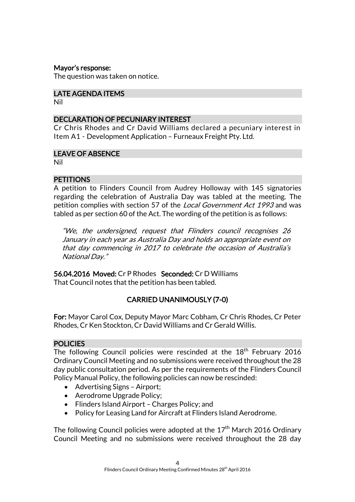#### Mayor's response:

The question was taken on notice.

## LATE AGENDA ITEMS

Nil

## DECLARATION OF PECUNIARY INTEREST

Cr Chris Rhodes and Cr David Williams declared a pecuniary interest in Item A1 - Development Application – Furneaux Freight Pty. Ltd.

## LEAVE OF ABSENCE

Nil

## **PETITIONS**

A petition to Flinders Council from Audrey Holloway with 145 signatories regarding the celebration of Australia Day was tabled at the meeting. The petition complies with section 57 of the *Local Government Act 1993* and was tabled as per section 60 of the Act. The wording of the petition is as follows:

"We, the undersigned, request that Flinders council recognises 26 January in each year as Australia Day and holds an appropriate event on that day commencing in 2017 to celebrate the occasion of Australia's National Day."

56.04.2016 Moved: Cr P Rhodes Seconded: Cr D Williams That Council notes that the petition has been tabled.

## CARRIED UNANIMOUSLY (7-0)

For: Mayor Carol Cox, Deputy Mayor Marc Cobham, Cr Chris Rhodes, Cr Peter Rhodes, Cr Ken Stockton, Cr David Williams and Cr Gerald Willis.

#### POLICIES

The following Council policies were rescinded at the  $18<sup>th</sup>$  February 2016 Ordinary Council Meeting and no submissions were received throughout the 28 day public consultation period. As per the requirements of the Flinders Council Policy Manual Policy, the following policies can now be rescinded:

- Advertising Signs Airport;
- Aerodrome Upgrade Policy;
- Flinders Island Airport Charges Policy; and
- Policy for Leasing Land for Aircraft at Flinders Island Aerodrome.

The following Council policies were adopted at the  $17<sup>th</sup>$  March 2016 Ordinary Council Meeting and no submissions were received throughout the 28 day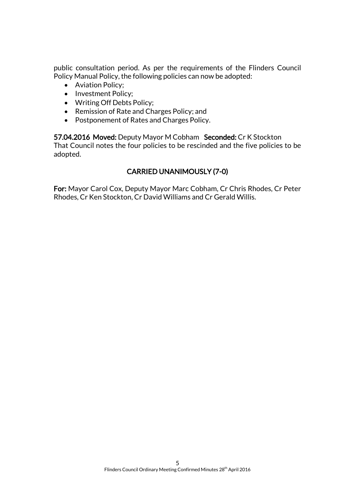public consultation period. As per the requirements of the Flinders Council Policy Manual Policy, the following policies can now be adopted:

- [Aviation Policy;](http://www.flinders.tas.gov.au/client-assets/images/Council/Downloads/Policies/DRAFT%20Aviation%20Policy.pdf)
- [Investment Policy;](http://www.flinders.tas.gov.au/client-assets/images/Council/Downloads/Policies/FC%20Investment%20Policy%2020160324.pdf)
- [Writing Off Debts Policy;](http://www.flinders.tas.gov.au/client-assets/images/Council/Downloads/Policies/from%20mtg%20-%20DRAFT%20Write%20off%20of%20bad%20debts%20Policy.pdf)
- [Remission of Rate and Charges Policy;](http://www.flinders.tas.gov.au/client-assets/images/Council/Downloads/Policies/from%20mtg%20-%20DRAFT%20Remission%20or%20rebate%20of%20rates%20and%20charges%20Policy.pdf) and
- [Postponement of Rates and Charges Policy.](http://www.flinders.tas.gov.au/client-assets/images/Council/Downloads/Policies/from%20meeting%20-%20DRAFT%20Postponement%20of%20rates%20and%20charges%20Policy.pdf)

57.04.2016 Moved: Deputy Mayor M Cobham Seconded: Cr K Stockton That Council notes the four policies to be rescinded and the five policies to be adopted.

## CARRIED UNANIMOUSLY (7-0)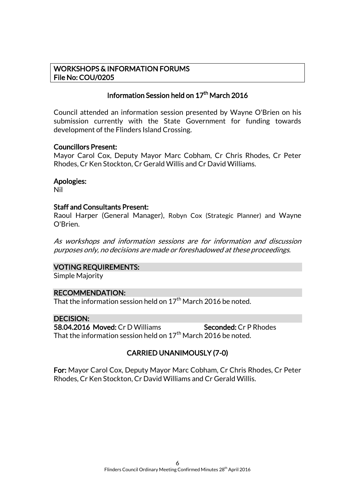## WORKSHOPS & INFORMATION FORUMS File No: COU/0205

## Information Session held on 17<sup>th</sup> March 2016

Council attended an information session presented by Wayne O'Brien on his submission currently with the State Government for funding towards development of the Flinders Island Crossing.

#### Councillors Present:

Mayor Carol Cox, Deputy Mayor Marc Cobham, Cr Chris Rhodes, Cr Peter Rhodes, Cr Ken Stockton, Cr Gerald Willis and Cr David Williams.

#### Apologies:

Nil

#### Staff and Consultants Present:

Raoul Harper (General Manager), Robyn Cox (Strategic Planner) and Wayne O'Brien.

As workshops and information sessions are for information and discussion purposes only, no decisions are made or foreshadowed at these proceedings.

#### VOTING REQUIREMENTS:

Simple Majority

## RECOMMENDATION:

That the information session held on  $17<sup>th</sup>$  March 2016 be noted.

#### DECISION:

58.04.2016 Moved: Cr D Williams Seconded: Cr P Rhodes That the information session held on  $17<sup>th</sup>$  March 2016 be noted.

## CARRIED UNANIMOUSLY (7-0)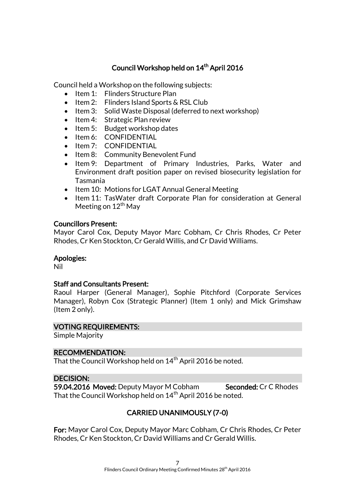## Council Workshop held on 14<sup>th</sup> April 2016

Council held a Workshop on the following subjects:

- Item 1: Flinders Structure Plan
- $\bullet$  Item 2: Flinders Island Sports & RSL Club
- Item 3: Solid Waste Disposal (deferred to next workshop)
- Item 4: Strategic Plan review
- $\bullet$  Item 5: Budget workshop dates
- Item 6: CONFIDENTIAL
- Item 7: CONFIDENTIAL
- Item 8: Community Benevolent Fund
- Item 9: Department of Primary Industries, Parks, Water and Environment draft position paper on revised biosecurity legislation for Tasmania
- Item 10: Motions for LGAT Annual General Meeting
- Item 11: TasWater draft Corporate Plan for consideration at General Meeting on  $12<sup>th</sup>$  May

## Councillors Present:

Mayor Carol Cox, Deputy Mayor Marc Cobham, Cr Chris Rhodes, Cr Peter Rhodes, Cr Ken Stockton, Cr Gerald Willis, and Cr David Williams.

## Apologies:

Nil

## Staff and Consultants Present:

Raoul Harper (General Manager), Sophie Pitchford (Corporate Services Manager), Robyn Cox (Strategic Planner) (Item 1 only) and Mick Grimshaw (Item 2 only).

## VOTING REQUIREMENTS:

Simple Majority

## RECOMMENDATION:

That the Council Workshop held on  $14<sup>th</sup>$  April 2016 be noted.

## DECISION:

59.04.2016 Moved: Deputy Mayor M Cobham Seconded: Cr C Rhodes That the Council Workshop held on  $14<sup>th</sup>$  April 2016 be noted.

## CARRIED UNANIMOUSLY (7-0)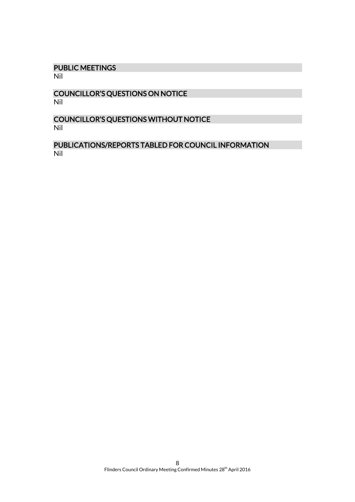## PUBLIC MEETINGS

Nil

## COUNCILLOR'S QUESTIONS ON NOTICE Nil

## COUNCILLOR'S QUESTIONS WITHOUT NOTICE Nil

## PUBLICATIONS/REPORTS TABLED FOR COUNCIL INFORMATION Nil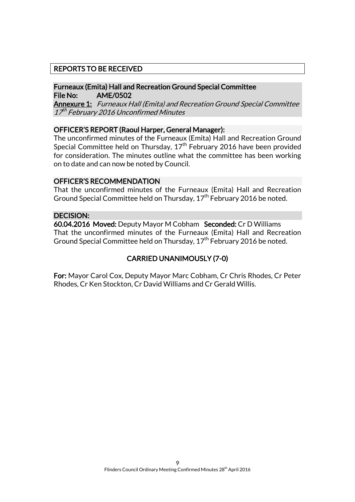## REPORTS TO BE RECEIVED

## Furneaux (Emita) Hall and Recreation Ground Special Committee File No: AME/0502

Annexure 1: Furneaux Hall (Emita) and Recreation Ground Special Committee 17<sup>th</sup> February 2016 Unconfirmed Minutes

#### OFFICER'S REPORT (Raoul Harper, General Manager):

The unconfirmed minutes of the Furneaux (Emita) Hall and Recreation Ground Special Committee held on Thursday,  $17<sup>th</sup>$  February 2016 have been provided for consideration. The minutes outline what the committee has been working on to date and can now be noted by Council.

#### OFFICER'S RECOMMENDATION

That the unconfirmed minutes of the Furneaux (Emita) Hall and Recreation Ground Special Committee held on Thursday,  $17<sup>th</sup>$  February 2016 be noted.

#### DECISION:

60.04.2016 Moved: Deputy Mayor M Cobham Seconded: Cr D Williams That the unconfirmed minutes of the Furneaux (Emita) Hall and Recreation Ground Special Committee held on Thursday, 17<sup>th</sup> February 2016 be noted.

## CARRIED UNANIMOUSLY (7-0)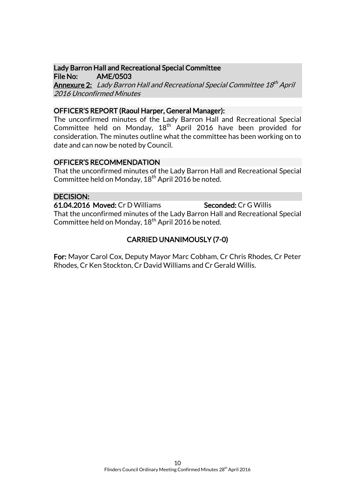#### Lady Barron Hall and Recreational Special Committee File No: AME/0503

**Annexure 2:** Lady Barron Hall and Recreational Special Committee 18<sup>th</sup> April 2016 Unconfirmed Minutes

## OFFICER'S REPORT (Raoul Harper, General Manager):

The unconfirmed minutes of the Lady Barron Hall and Recreational Special Committee held on Monday, 18<sup>th</sup> April 2016 have been provided for consideration. The minutes outline what the committee has been working on to date and can now be noted by Council.

## OFFICER'S RECOMMENDATION

That the unconfirmed minutes of the Lady Barron Hall and Recreational Special Committee held on Monday, 18<sup>th</sup> April 2016 be noted.

## DECISION:

61.04.2016 Moved: Cr D Williams Seconded: Cr G Willis That the unconfirmed minutes of the Lady Barron Hall and Recreational Special Committee held on Monday, 18<sup>th</sup> April 2016 be noted.

## CARRIED UNANIMOUSLY (7-0)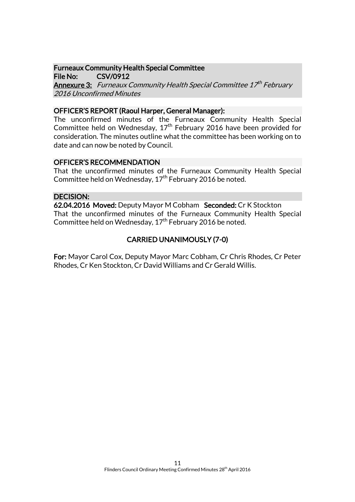## Furneaux Community Health Special Committee

File No: CSV/0912 **Annexure 3:** Furneaux Community Health Special Committee 17<sup>th</sup> February 2016 Unconfirmed Minutes

## OFFICER'S REPORT (Raoul Harper, General Manager):

The unconfirmed minutes of the Furneaux Community Health Special Committee held on Wednesday,  $17<sup>th</sup>$  February 2016 have been provided for consideration. The minutes outline what the committee has been working on to date and can now be noted by Council.

## OFFICER'S RECOMMENDATION

That the unconfirmed minutes of the Furneaux Community Health Special Committee held on Wednesday,  $17<sup>th</sup>$  February 2016 be noted.

## DECISION:

62.04.2016 Moved: Deputy Mayor M Cobham Seconded: Cr K Stockton That the unconfirmed minutes of the Furneaux Community Health Special Committee held on Wednesday,  $17<sup>th</sup>$  February 2016 be noted.

## CARRIED UNANIMOUSLY (7-0)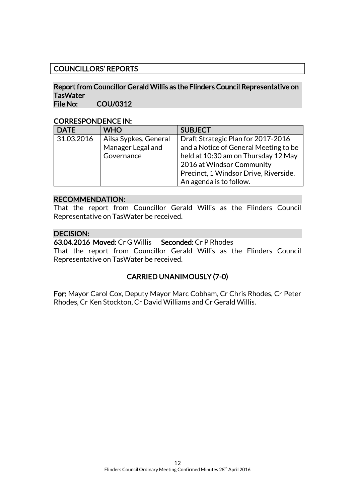## COUNCILLORS' REPORTS

#### Report from Councillor Gerald Willis as the Flinders Council Representative on **TasWater** File No: COU/0312

## CORRESPONDENCE IN:

| <b>DATE</b> | <b>WHO</b>            | <b>SUBJECT</b>                        |
|-------------|-----------------------|---------------------------------------|
| 31.03.2016  | Ailsa Sypkes, General | Draft Strategic Plan for 2017-2016    |
|             | Manager Legal and     | and a Notice of General Meeting to be |
|             | Governance            | held at 10:30 am on Thursday 12 May   |
|             |                       | 2016 at Windsor Community             |
|             |                       | Precinct, 1 Windsor Drive, Riverside. |
|             |                       | An agenda is to follow.               |

#### RECOMMENDATION:

That the report from Councillor Gerald Willis as the Flinders Council Representative on TasWater be received.

## DECISION:

63.04.2016 Moved: Cr G Willis Seconded: Cr P Rhodes

That the report from Councillor Gerald Willis as the Flinders Council Representative on TasWater be received.

## CARRIED UNANIMOUSLY (7-0)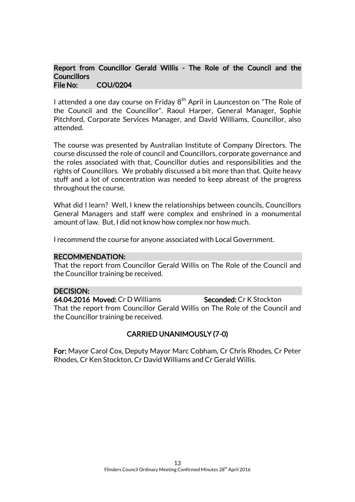#### Report from Councillor Gerald Willis - The Role of the Council and the **Councillors** File No: COU/0204

I attended a one day course on Friday  $8<sup>th</sup>$  April in Launceston on "The Role of the Council and the Councillor". Raoul Harper, General Manager, Sophie Pitchford, Corporate Services Manager, and David Williams, Councillor, also attended.

The course was presented by Australian Institute of Company Directors. The course discussed the role of council and Councillors, corporate governance and the roles associated with that, Councillor duties and responsibilities and the rights of Councillors. We probably discussed a bit more than that. Quite heavy stuff and a lot of concentration was needed to keep abreast of the progress throughout the course.

What did I learn? Well, I knew the relationships between councils, Councillors General Managers and staff were complex and enshrined in a monumental amount of law. But, I did not know how complex nor how much.

I recommend the course for anyone associated with Local Government.

#### RECOMMENDATION:

That the report from Councillor Gerald Willis on The Role of the Council and the Councillor training be received.

#### DECISION:

64.04.2016 Moved: Cr D Williams Seconded: Cr K Stockton That the report from Councillor Gerald Willis on The Role of the Council and the Councillor training be received.

## CARRIED UNANIMOUSLY (7-0)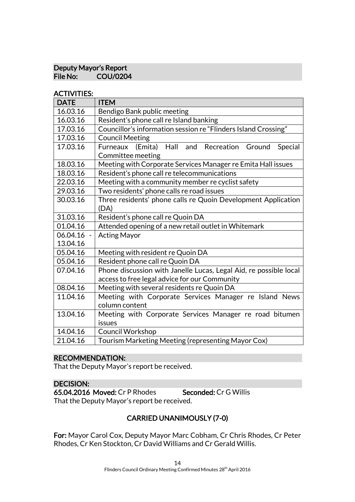## Deputy Mayor's Report<br>File No: COU/0204 COU/0204

#### ACTIVITIES:

| <b>DATE</b> | <b>ITEM</b>                                                       |
|-------------|-------------------------------------------------------------------|
| 16.03.16    | Bendigo Bank public meeting                                       |
| 16.03.16    | Resident's phone call re Island banking                           |
| 17.03.16    | Councillor's information session re "Flinders Island Crossing"    |
| 17.03.16    | <b>Council Meeting</b>                                            |
| 17.03.16    | and<br>Furneaux (Emita)<br>Hall<br>Recreation Ground<br>Special   |
|             | Committee meeting                                                 |
| 18.03.16    | Meeting with Corporate Services Manager re Emita Hall issues      |
| 18.03.16    | Resident's phone call re telecommunications                       |
| 22.03.16    | Meeting with a community member re cyclist safety                 |
| 29.03.16    | Two residents' phone calls re road issues                         |
| 30.03.16    | Three residents' phone calls re Quoin Development Application     |
|             | (DA)                                                              |
| 31.03.16    | Resident's phone call re Quoin DA                                 |
| 01.04.16    | Attended opening of a new retail outlet in Whitemark              |
| 06.04.16    | <b>Acting Mayor</b>                                               |
| 13.04.16    |                                                                   |
| 05.04.16    | Meeting with resident re Quoin DA                                 |
| 05.04.16    | Resident phone call re Quoin DA                                   |
| 07.04.16    | Phone discussion with Janelle Lucas, Legal Aid, re possible local |
|             | access to free legal advice for our Community                     |
| 08.04.16    | Meeting with several residents re Quoin DA                        |
| 11.04.16    | Meeting with Corporate Services Manager re Island News            |
|             | column content                                                    |
| 13.04.16    | Meeting with Corporate Services Manager re road bitumen           |
|             | issues                                                            |
| 14.04.16    | Council Workshop                                                  |
| 21.04.16    | Tourism Marketing Meeting (representing Mayor Cox)                |

## RECOMMENDATION:

That the Deputy Mayor's report be received.

## DECISION:

65.04.2016 Moved: Cr P Rhodes Seconded: Cr G Willis That the Deputy Mayor's report be received.

## CARRIED UNANIMOUSLY (7-0)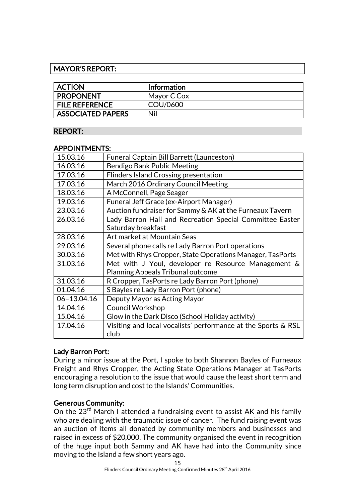## MAYOR'S REPORT:

| <b>ACTION</b>            | Information |
|--------------------------|-------------|
| <b>PROPONENT</b>         | Mayor C Cox |
| <b>FILE REFERENCE</b>    | COU/0600    |
| <b>ASSOCIATED PAPERS</b> | Nil         |

#### REPORT:

#### APPOINTMENTS:

| 15.03.16<br><b>Funeral Captain Bill Barrett (Launceston)</b><br>16.03.16<br>Bendigo Bank Public Meeting<br>17.03.16<br><b>Flinders Island Crossing presentation</b><br>March 2016 Ordinary Council Meeting<br>17.03.16<br>18.03.16<br>A McConnell, Page Seager |
|----------------------------------------------------------------------------------------------------------------------------------------------------------------------------------------------------------------------------------------------------------------|
|                                                                                                                                                                                                                                                                |
|                                                                                                                                                                                                                                                                |
|                                                                                                                                                                                                                                                                |
|                                                                                                                                                                                                                                                                |
|                                                                                                                                                                                                                                                                |
| 19.03.16<br><b>Funeral Jeff Grace (ex-Airport Manager)</b>                                                                                                                                                                                                     |
| 23.03.16<br>Auction fundraiser for Sammy & AK at the Furneaux Tavern                                                                                                                                                                                           |
| 26.03.16<br>Lady Barron Hall and Recreation Special Committee Easter                                                                                                                                                                                           |
| Saturday breakfast                                                                                                                                                                                                                                             |
| 28.03.16<br>Art market at Mountain Seas                                                                                                                                                                                                                        |
| 29.03.16<br>Several phone calls re Lady Barron Port operations                                                                                                                                                                                                 |
| 30.03.16<br>Met with Rhys Cropper, State Operations Manager, TasPorts                                                                                                                                                                                          |
| 31.03.16<br>Met with J Youl, developer re Resource Management &                                                                                                                                                                                                |
| <b>Planning Appeals Tribunal outcome</b>                                                                                                                                                                                                                       |
| 31.03.16<br>R Cropper, TasPorts re Lady Barron Port (phone)                                                                                                                                                                                                    |
| 01.04.16<br>S Bayles re Lady Barron Port (phone)                                                                                                                                                                                                               |
| 06-13.04.16<br>Deputy Mayor as Acting Mayor                                                                                                                                                                                                                    |
| 14.04.16<br><b>Council Workshop</b>                                                                                                                                                                                                                            |
| 15.04.16<br>Glow in the Dark Disco (School Holiday activity)                                                                                                                                                                                                   |
| 17.04.16<br>Visiting and local vocalists' performance at the Sports & RSL                                                                                                                                                                                      |
| club                                                                                                                                                                                                                                                           |

## Lady Barron Port:

During a minor issue at the Port, I spoke to both Shannon Bayles of Furneaux Freight and Rhys Cropper, the Acting State Operations Manager at TasPorts encouraging a resolution to the issue that would cause the least short term and long term disruption and cost to the Islands' Communities.

## Generous Community:

On the 23<sup>rd</sup> March I attended a fundraising event to assist AK and his family who are dealing with the traumatic issue of cancer. The fund raising event was an auction of items all donated by community members and businesses and raised in excess of \$20,000. The community organised the event in recognition of the huge input both Sammy and AK have had into the Community since moving to the Island a few short years ago.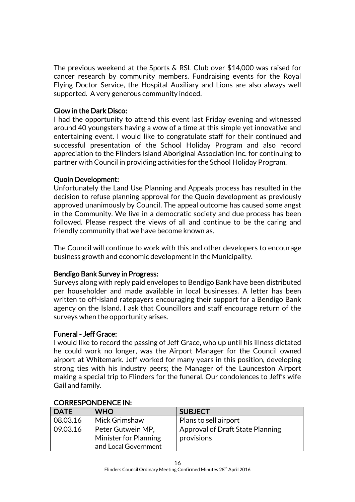The previous weekend at the Sports & RSL Club over \$14,000 was raised for cancer research by community members. Fundraising events for the Royal Flying Doctor Service, the Hospital Auxiliary and Lions are also always well supported. A very generous community indeed.

## Glow in the Dark Disco:

I had the opportunity to attend this event last Friday evening and witnessed around 40 youngsters having a wow of a time at this simple yet innovative and entertaining event. I would like to congratulate staff for their continued and successful presentation of the School Holiday Program and also record appreciation to the Flinders Island Aboriginal Association Inc. for continuing to partner with Council in providing activities for the School Holiday Program.

## Quoin Development:

Unfortunately the Land Use Planning and Appeals process has resulted in the decision to refuse planning approval for the Quoin development as previously approved unanimously by Council. The appeal outcome has caused some angst in the Community. We live in a democratic society and due process has been followed. Please respect the views of all and continue to be the caring and friendly community that we have become known as.

The Council will continue to work with this and other developers to encourage business growth and economic development in the Municipality.

## Bendigo Bank Survey in Progress:

Surveys along with reply paid envelopes to Bendigo Bank have been distributed per householder and made available in local businesses. A letter has been written to off-island ratepayers encouraging their support for a Bendigo Bank agency on the Island. I ask that Councillors and staff encourage return of the surveys when the opportunity arises.

## Funeral - Jeff Grace:

I would like to record the passing of Jeff Grace, who up until his illness dictated he could work no longer, was the Airport Manager for the Council owned airport at Whitemark. Jeff worked for many years in this position, developing strong ties with his industry peers; the Manager of the Launceston Airport making a special trip to Flinders for the funeral. Our condolences to Jeff's wife Gail and family.

| <b>DATE</b> | <b>WHO</b>            | <b>SUBJECT</b>                   |
|-------------|-----------------------|----------------------------------|
| 08.03.16    | Mick Grimshaw         | Plans to sell airport            |
| 09.03.16    | Peter Gutwein MP,     | Approval of Draft State Planning |
|             | Minister for Planning | provisions                       |
|             | and Local Government  |                                  |

## CORRESPONDENCE IN: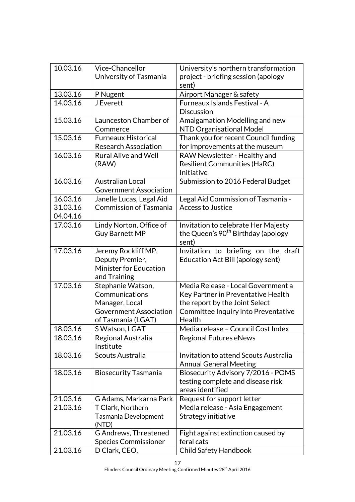| 10.03.16 | Vice-Chancellor               | University's northern transformation           |
|----------|-------------------------------|------------------------------------------------|
|          | University of Tasmania        | project - briefing session (apology            |
|          |                               | sent)                                          |
| 13.03.16 | P Nugent                      | Airport Manager & safety                       |
| 14.03.16 | <b>J</b> Everett              | Furneaux Islands Festival - A                  |
|          |                               | <b>Discussion</b>                              |
| 15.03.16 | Launceston Chamber of         | Amalgamation Modelling and new                 |
|          | Commerce                      | NTD Organisational Model                       |
| 15.03.16 | <b>Furneaux Historical</b>    | Thank you for recent Council funding           |
|          | <b>Research Association</b>   | for improvements at the museum                 |
| 16.03.16 | <b>Rural Alive and Well</b>   | RAW Newsletter - Healthy and                   |
|          | (RAW)                         | <b>Resilient Communities (HaRC)</b>            |
|          |                               | Initiative                                     |
| 16.03.16 | <b>Australian Local</b>       | Submission to 2016 Federal Budget              |
|          | <b>Government Association</b> |                                                |
| 16.03.16 | Janelle Lucas, Legal Aid      | Legal Aid Commission of Tasmania -             |
| 31.03.16 | <b>Commission of Tasmania</b> | <b>Access to Justice</b>                       |
| 04.04.16 |                               |                                                |
| 17.03.16 | Lindy Norton, Office of       | Invitation to celebrate Her Majesty            |
|          | <b>Guy Barnett MP</b>         | the Queen's 90 <sup>th</sup> Birthday (apology |
|          |                               | sent)                                          |
| 17.03.16 | Jeremy Rockliff MP,           | Invitation to briefing on the draft            |
|          | Deputy Premier,               | Education Act Bill (apology sent)              |
|          | <b>Minister for Education</b> |                                                |
|          | and Training                  |                                                |
| 17.03.16 | Stephanie Watson,             | Media Release - Local Government a             |
|          | Communications                | Key Partner in Preventative Health             |
|          | Manager, Local                | the report by the Joint Select                 |
|          | <b>Government Association</b> | Committee Inquiry into Preventative            |
|          | of Tasmania (LGAT)            | Health                                         |
| 18.03.16 | S Watson, LGAT                | Media release - Council Cost Index             |
| 18.03.16 | Regional Australia            | Regional Futures eNews                         |
|          | Institute                     |                                                |
| 18.03.16 | Scouts Australia              | Invitation to attend Scouts Australia          |
|          |                               | <b>Annual General Meeting</b>                  |
| 18.03.16 | <b>Biosecurity Tasmania</b>   | Biosecurity Advisory 7/2016 - POMS             |
|          |                               | testing complete and disease risk              |
|          |                               | areas identified                               |
| 21.03.16 | G Adams, Markarna Park        | Request for support letter                     |
| 21.03.16 | T Clark, Northern             | Media release - Asia Engagement                |
|          | Tasmania Development          | Strategy initiative                            |
|          | (NTD)                         |                                                |
| 21.03.16 | G Andrews, Threatened         | Fight against extinction caused by             |
|          | <b>Species Commissioner</b>   | feral cats                                     |
| 21.03.16 | D Clark, CEO,                 | Child Safety Handbook                          |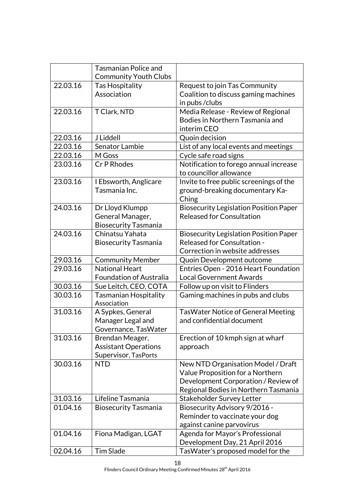|          | <b>Tasmanian Police and</b><br><b>Community Youth Clubs</b> |                                                                   |
|----------|-------------------------------------------------------------|-------------------------------------------------------------------|
| 22.03.16 | Tas Hospitality                                             | Request to join Tas Community                                     |
|          | Association                                                 | Coalition to discuss gaming machines                              |
|          |                                                             | in pubs/clubs                                                     |
| 22.03.16 | T Clark, NTD                                                | Media Release - Review of Regional                                |
|          |                                                             | Bodies in Northern Tasmania and                                   |
|          |                                                             | interim CEO                                                       |
| 22.03.16 | J Liddell                                                   | Quoin decision                                                    |
| 22.03.16 | Senator Lambie                                              | List of any local events and meetings                             |
| 22.03.16 | M Goss                                                      | Cycle safe road signs                                             |
| 23.03.16 | Cr P Rhodes                                                 | Notification to forego annual increase<br>to councillor allowance |
| 23.03.16 | I Ebsworth, Anglicare                                       | Invite to free public screenings of the                           |
|          | Tasmania Inc.                                               | ground-breaking documentary Ka-                                   |
|          |                                                             | Ching                                                             |
| 24.03.16 | Dr Lloyd Klumpp                                             | <b>Biosecurity Legislation Position Paper</b>                     |
|          | General Manager,                                            | <b>Released for Consultation</b>                                  |
|          | <b>Biosecurity Tasmania</b>                                 |                                                                   |
| 24.03.16 | Chinatsu Yahata                                             | <b>Biosecurity Legislation Position Paper</b>                     |
|          | <b>Biosecurity Tasmania</b>                                 | Released for Consultation -                                       |
|          |                                                             | Correction in website addresses                                   |
| 29.03.16 | <b>Community Member</b>                                     | Quoin Development outcome                                         |
| 29.03.16 | <b>National Heart</b>                                       | Entries Open - 2016 Heart Foundation                              |
|          | <b>Foundation of Australia</b>                              | <b>Local Government Awards</b>                                    |
| 30.03.16 | Sue Leitch, CEO, COTA                                       | Follow up on visit to Flinders                                    |
| 30.03.16 | <b>Tasmanian Hospitality</b>                                | Gaming machines in pubs and clubs                                 |
|          | Association                                                 |                                                                   |
| 31.03.16 | A Sypkes, General                                           | <b>TasWater Notice of General Meeting</b>                         |
|          | Manager Legal and                                           | and confidential document                                         |
|          | Governance, TasWater                                        |                                                                   |
| 31.03.16 | Brendan Meager,                                             | Erection of 10 kmph sign at wharf                                 |
|          | <b>Assistant Operations</b>                                 | approach                                                          |
|          | Supervisor, TasPorts                                        |                                                                   |
| 30.03.16 | <b>NTD</b>                                                  | New NTD Organisation Model / Draft                                |
|          |                                                             | Value Proposition for a Northern                                  |
|          |                                                             | Development Corporation / Review of                               |
|          |                                                             | Regional Bodies in Northern Tasmania                              |
| 31.03.16 | Lifeline Tasmania                                           | <b>Stakeholder Survey Letter</b>                                  |
| 01.04.16 | <b>Biosecurity Tasmania</b>                                 | Biosecurity Advisory 9/2016 -                                     |
|          |                                                             | Reminder to vaccinate your dog                                    |
|          |                                                             | against canine parvovirus                                         |
| 01.04.16 | Fiona Madigan, LGAT                                         | Agenda for Mayor's Professional                                   |
|          |                                                             | Development Day, 21 April 2016                                    |
| 02.04.16 | <b>Tim Slade</b>                                            | TasWater's proposed model for the                                 |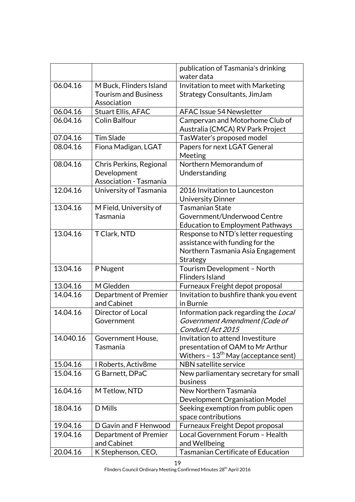|           |                                                                         | publication of Tasmania's drinking<br>water data                                                               |
|-----------|-------------------------------------------------------------------------|----------------------------------------------------------------------------------------------------------------|
| 06.04.16  | M Buck, Flinders Island                                                 | Invitation to meet with Marketing                                                                              |
|           | <b>Tourism and Business</b><br>Association                              | Strategy Consultants, JimJam                                                                                   |
| 06.04.16  | <b>Stuart Ellis, AFAC</b>                                               | <b>AFAC Issue 54 Newsletter</b>                                                                                |
| 06.04.16  | <b>Colin Balfour</b>                                                    | Campervan and Motorhome Club of<br>Australia (CMCA) RV Park Project                                            |
| 07.04.16  | <b>Tim Slade</b>                                                        | TasWater's proposed model                                                                                      |
| 08.04.16  | Fiona Madigan, LGAT                                                     | Papers for next LGAT General<br>Meeting                                                                        |
| 08.04.16  | Chris Perkins, Regional<br>Development<br><b>Association - Tasmania</b> | Northern Memorandum of<br>Understanding                                                                        |
| 12.04.16  | University of Tasmania                                                  | 2016 Invitation to Launceston<br><b>University Dinner</b>                                                      |
| 13.04.16  | M Field, University of                                                  | <b>Tasmanian State</b>                                                                                         |
|           | Tasmania                                                                | Government/Underwood Centre                                                                                    |
|           |                                                                         | <b>Education to Employment Pathways</b>                                                                        |
| 13.04.16  | T Clark, NTD                                                            | Response to NTD's letter requesting                                                                            |
|           |                                                                         | assistance with funding for the                                                                                |
|           |                                                                         | Northern Tasmania Asia Engagement                                                                              |
|           |                                                                         | Strategy                                                                                                       |
| 13.04.16  | P Nugent                                                                | Tourism Development - North<br><b>Flinders Island</b>                                                          |
| 13.04.16  | M Gledden                                                               | Furneaux Freight depot proposal                                                                                |
| 14.04.16  | <b>Department of Premier</b><br>and Cabinet                             | Invitation to bushfire thank you event<br>in Burnie                                                            |
| 14.04.16  | Director of Local                                                       | Information pack regarding the Local                                                                           |
|           | Government                                                              | Government Amendment (Code of<br>Conduct) Act 2015                                                             |
| 14.040.16 | Government House,<br>Tasmania                                           | Invitation to attend Investiture<br>presentation of OAM to Mr Arthur<br>Withers - $13th$ May (acceptance sent) |
| 15.04.16  | I Roberts, Activ8me                                                     | <b>NBN</b> satellite service                                                                                   |
| 15.04.16  | G Barnett, DPaC                                                         | New parliamentary secretary for small                                                                          |
|           |                                                                         | business                                                                                                       |
| 16.04.16  | M Tetlow, NTD                                                           | New Northern Tasmania<br>Development Organisation Model                                                        |
| 18.04.16  | D Mills                                                                 | Seeking exemption from public open                                                                             |
|           |                                                                         | space contributions                                                                                            |
| 19.04.16  | D Gavin and F Henwood                                                   | <b>Furneaux Freight Depot proposal</b>                                                                         |
| 19.04.16  | Department of Premier                                                   | Local Government Forum - Health                                                                                |
|           | and Cabinet                                                             | and Wellbeing                                                                                                  |
| 20.04.16  | K Stephenson, CEO,                                                      | Tasmanian Certificate of Education                                                                             |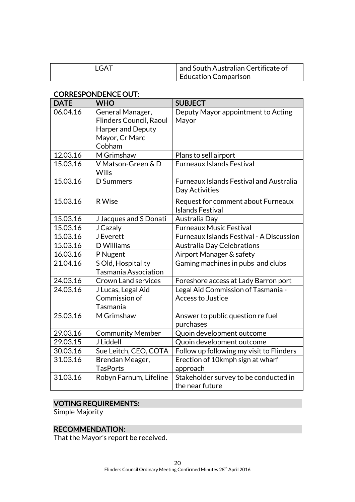| <b>LGAT</b> | and South Australian Certificate of |
|-------------|-------------------------------------|
|             | Education Comparison                |

#### CORRESPONDENCE OUT:

| <b>DATE</b> | <b>WHO</b>                         | <b>SUBJECT</b>                                                |
|-------------|------------------------------------|---------------------------------------------------------------|
| 06.04.16    | General Manager,                   | Deputy Mayor appointment to Acting                            |
|             | Flinders Council, Raoul            | Mayor                                                         |
|             | Harper and Deputy                  |                                                               |
|             | Mayor, Cr Marc                     |                                                               |
|             | Cobham                             |                                                               |
| 12.03.16    | M Grimshaw                         | Plans to sell airport                                         |
| 15.03.16    | V Matson-Green & D<br><b>Wills</b> | <b>Furneaux Islands Festival</b>                              |
| 15.03.16    | D Summers                          | <b>Furneaux Islands Festival and Australia</b>                |
|             |                                    | Day Activities                                                |
| 15.03.16    | R Wise                             | Request for comment about Furneaux<br><b>Islands Festival</b> |
| 15.03.16    | J Jacques and S Donati             | Australia Day                                                 |
| 15.03.16    | J Cazaly                           | <b>Furneaux Music Festival</b>                                |
| 15.03.16    | <b>J</b> Everett                   | Furneaux Islands Festival - A Discussion                      |
| 15.03.16    | D Williams                         | <b>Australia Day Celebrations</b>                             |
| 16.03.16    | P Nugent                           | Airport Manager & safety                                      |
| 21.04.16    | S Old, Hospitality                 | Gaming machines in pubs and clubs                             |
|             | <b>Tasmania Association</b>        |                                                               |
| 24.03.16    | <b>Crown Land services</b>         | Foreshore access at Lady Barron port                          |
| 24.03.16    | J Lucas, Legal Aid                 | Legal Aid Commission of Tasmania -                            |
|             | Commission of                      | <b>Access to Justice</b>                                      |
|             | Tasmania                           |                                                               |
| 25.03.16    | M Grimshaw                         | Answer to public question re fuel                             |
|             |                                    | purchases                                                     |
| 29.03.16    | <b>Community Member</b>            | Quoin development outcome                                     |
| 29.03.15    | J Liddell                          | Quoin development outcome                                     |
| 30.03.16    | Sue Leitch, CEO, COTA              | Follow up following my visit to Flinders                      |
| 31.03.16    | Brendan Meager,                    | Erection of 10kmph sign at wharf                              |
|             | <b>TasPorts</b>                    | approach                                                      |
| 31.03.16    | Robyn Farnum, Lifeline             | Stakeholder survey to be conducted in                         |
|             |                                    | the near future                                               |

## VOTING REQUIREMENTS:

Simple Majority

## RECOMMENDATION:

That the Mayor's report be received.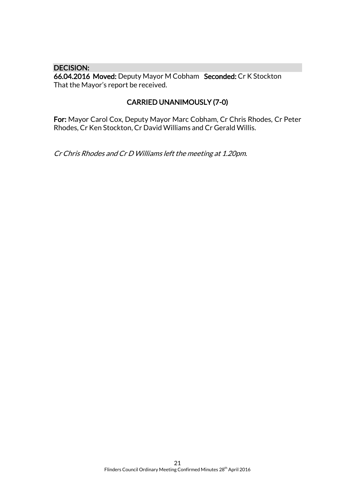#### DECISION:

66.04.2016 Moved: Deputy Mayor M Cobham Seconded: Cr K Stockton That the Mayor's report be received.

## CARRIED UNANIMOUSLY (7-0)

For: Mayor Carol Cox, Deputy Mayor Marc Cobham, Cr Chris Rhodes, Cr Peter Rhodes, Cr Ken Stockton, Cr David Williams and Cr Gerald Willis.

Cr Chris Rhodes and Cr D Williams left the meeting at 1.20pm.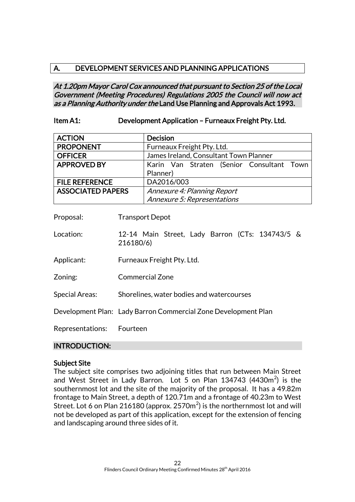## A. DEVELOPMENT SERVICES AND PLANNING APPLICATIONS

At 1.20pm Mayor Carol Cox announced that pursuant to Section 25 of the Local Government (Meeting Procedures) Regulations 2005 the Council will now act as a Planning Authority under the Land Use Planning and Approvals Act 1993.

## Item A1: Development Application – Furneaux Freight Pty. Ltd.

| <b>ACTION</b>            | <b>Decision</b>                           |  |
|--------------------------|-------------------------------------------|--|
| <b>PROPONENT</b>         | Furneaux Freight Pty. Ltd.                |  |
| <b>OFFICER</b>           | James Ireland, Consultant Town Planner    |  |
| <b>APPROVED BY</b>       | Karin Van Straten (Senior Consultant Town |  |
|                          | Planner)                                  |  |
| <b>FILE REFERENCE</b>    | DA2016/003                                |  |
| <b>ASSOCIATED PAPERS</b> | Annexure 4: Planning Report               |  |
|                          | Annexure 5: Representations               |  |

Proposal: Transport Depot

- Location: 12-14 Main Street, Lady Barron (CTs: 134743/5 & 216180/6)
- Applicant: Furneaux Freight Pty. Ltd.
- Zoning: Commercial Zone
- Special Areas: Shorelines, water bodies and watercourses

Development Plan: Lady Barron Commercial Zone Development Plan

Representations: Fourteen

#### INTRODUCTION:

#### Subject Site

The subject site comprises two adjoining titles that run between Main Street and West Street in Lady Barron. Lot 5 on Plan  $134743$  (4430m<sup>2</sup>) is the southernmost lot and the site of the majority of the proposal. It has a 49.82m frontage to Main Street, a depth of 120.71m and a frontage of 40.23m to West Street. Lot 6 on Plan 216180 (approx. 2570 $\mathrm{m}^{2}$ ) is the northernmost lot and will not be developed as part of this application, except for the extension of fencing and landscaping around three sides of it.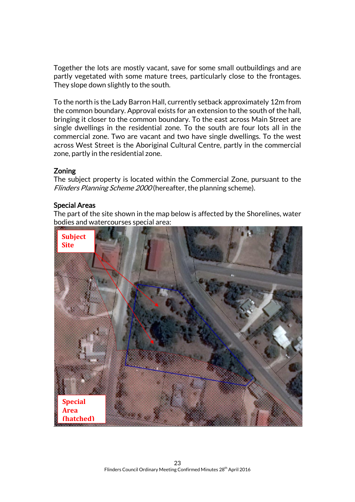Together the lots are mostly vacant, save for some small outbuildings and are partly vegetated with some mature trees, particularly close to the frontages. They slope down slightly to the south.

To the north is the Lady Barron Hall, currently setback approximately 12m from the common boundary. Approval exists for an extension to the south of the hall, bringing it closer to the common boundary. To the east across Main Street are single dwellings in the residential zone. To the south are four lots all in the commercial zone. Two are vacant and two have single dwellings. To the west across West Street is the Aboriginal Cultural Centre, partly in the commercial zone, partly in the residential zone.

#### Zoning

The subject property is located within the Commercial Zone, pursuant to the Flinders Planning Scheme 2000 (hereafter, the planning scheme).

## Special Areas

The part of the site shown in the map below is affected by the Shorelines, water bodies and watercourses special area:

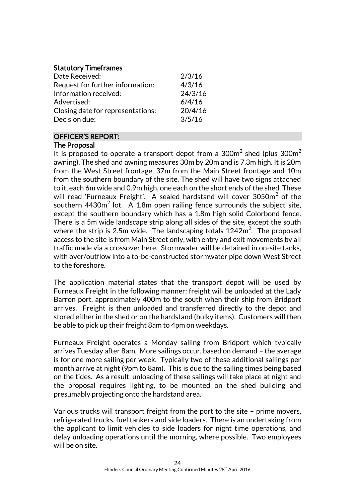## Statutory Timeframes

| Date Received:                    | 2/3/16  |
|-----------------------------------|---------|
| Request for further information:  | 4/3/16  |
| Information received:             | 24/3/16 |
| Advertised:                       | 6/4/16  |
| Closing date for representations: | 20/4/16 |
| Decision due:                     | 3/5/16  |

## OFFICER'S REPORT:

## The Proposal

It is proposed to operate a transport depot from a 300m $^2$  shed (plus 300m $^2$ awning). The shed and awning measures 30m by 20m and is 7.3m high. It is 20m from the West Street frontage, 37m from the Main Street frontage and 10m from the southern boundary of the site. The shed will have two signs attached to it, each 6m wide and 0.9m high, one each on the short ends of the shed. These will read 'Furneaux Freight'.  $\,$  sealed hardstand will cover 3050 $\mathrm{m}^2$  of the southern 4430 $m^2$  lot. A 1.8m open railing fence surrounds the subject site, except the southern boundary which has a 1.8m high solid Colorbond fence. There is a 5m wide landscape strip along all sides of the site, except the south where the strip is 2.5m wide. The landscaping totals  $1242\mathsf{m}^2$ . The proposed access to the site is from Main Street only, with entry and exit movements by all traffic made via a crossover here. Stormwater will be detained in on-site tanks, with over/outflow into a to-be-constructed stormwater pipe down West Street to the foreshore.

The application material states that the transport depot will be used by Furneaux Freight in the following manner: freight will be unloaded at the Lady Barron port, approximately 400m to the south when their ship from Bridport arrives. Freight is then unloaded and transferred directly to the depot and stored either in the shed or on the hardstand (bulky items). Customers will then be able to pick up their freight 8am to 4pm on weekdays.

Furneaux Freight operates a Monday sailing from Bridport which typically arrives Tuesday after 8am. More sailings occur, based on demand – the average is for one more sailing per week. Typically two of these additional sailings per month arrive at night (9pm to 8am). This is due to the sailing times being based on the tides. As a result, unloading of these sailings will take place at night and the proposal requires lighting, to be mounted on the shed building and presumably projecting onto the hardstand area.

Various trucks will transport freight from the port to the site – prime movers, refrigerated trucks, fuel tankers and side loaders. There is an undertaking from the applicant to limit vehicles to side loaders for night time operations, and delay unloading operations until the morning, where possible. Two employees will be on site.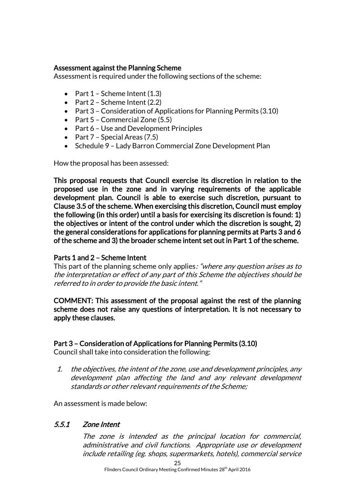#### Assessment against the Planning Scheme

Assessment is required under the following sections of the scheme:

- Part  $1$  Scheme Intent  $(1.3)$
- Part  $2$  Scheme Intent (2.2)
- Part 3 Consideration of Applications for Planning Permits (3.10)
- Part  $5$  Commercial Zone (5.5)
- Part 6 Use and Development Principles
- Part  $7$  Special Areas (7.5)
- Schedule 9 Lady Barron Commercial Zone Development Plan

How the proposal has been assessed:

This proposal requests that Council exercise its discretion in relation to the proposed use in the zone and in varying requirements of the applicable development plan. Council is able to exercise such discretion, pursuant to Clause 3.5 of the scheme. When exercising this discretion, Council must employ the following (in this order) until a basis for exercising its discretion is found: 1) the objectives or intent of the control under which the discretion is sought, 2) the general considerations for applications for planning permits at Parts 3 and 6 of the scheme and 3) the broader scheme intent set out in Part 1 of the scheme.

## Parts 1 and 2 – Scheme Intent

This part of the planning scheme only applies: "where any question arises as to the interpretation or effect of any part of this Scheme the objectives should be referred to in order to provide the basic intent."

COMMENT: This assessment of the proposal against the rest of the planning scheme does not raise any questions of interpretation. It is not necessary to apply these clauses.

## Part 3 – Consideration of Applications for Planning Permits (3.10)

Council shall take into consideration the following:

1. the objectives, the intent of the zone, use and development principles, any development plan affecting the land and any relevant development standards or other relevant requirements of the Scheme;

An assessment is made below:

## 5.5.1 Zone Intent

The zone is intended as the principal location for commercial, administrative and civil functions. Appropriate use or development include retailing (eg. shops, supermarkets, hotels), commercial service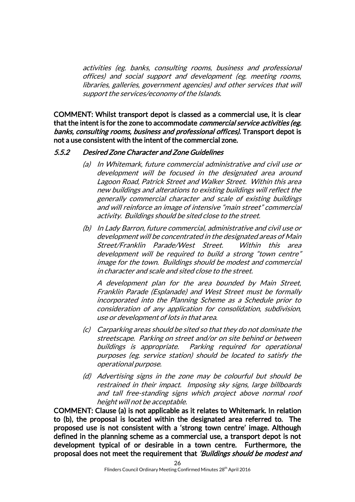activities (eg. banks, consulting rooms, business and professional offices) and social support and development (eg. meeting rooms, libraries, galleries, government agencies) and other services that will support the services/economy of the Islands.

COMMENT: Whilst transport depot is classed as a commercial use, it is clear that the intent is for the zone to accommodate *commercial service activities (eg.* banks, consulting rooms, business and professional offices). Transport depot is not a use consistent with the intent of the commercial zone.

#### 5.5.2 Desired Zone Character and Zone Guidelines

- (a) In Whitemark, future commercial administrative and civil use or development will be focused in the designated area around Lagoon Road, Patrick Street and Walker Street. Within this area new buildings and alterations to existing buildings will reflect the generally commercial character and scale of existing buildings and will reinforce an image of intensive "main street" commercial activity. Buildings should be sited close to the street.
- (b) In Lady Barron, future commercial, administrative and civil use or development will be concentrated in the designated areas of Main Street/Franklin Parade/West Street. Within this area development will be required to build a strong "town centre" image for the town. Buildings should be modest and commercial in character and scale and sited close to the street.

A development plan for the area bounded by Main Street, Franklin Parade (Esplanade) and West Street must be formally incorporated into the Planning Scheme as a Schedule prior to consideration of any application for consolidation, subdivision, use or development of lots in that area.

- (c) Carparking areas should be sited so that they do not dominate the streetscape. Parking on street and/or on site behind or between buildings is appropriate. Parking required for operational purposes (eg. service station) should be located to satisfy the operational purpose.
- (d) Advertising signs in the zone may be colourful but should be restrained in their impact. Imposing sky signs, large billboards and tall free-standing signs which project above normal roof height will not be acceptable.

COMMENT: Clause (a) is not applicable as it relates to Whitemark. In relation to (b), the proposal is located within the designated area referred to. The proposed use is not consistent with a 'strong town centre' image. Although defined in the planning scheme as a commercial use, a transport depot is not development typical of or desirable in a town centre. Furthermore, the proposal does not meet the requirement that 'Buildings should be modest and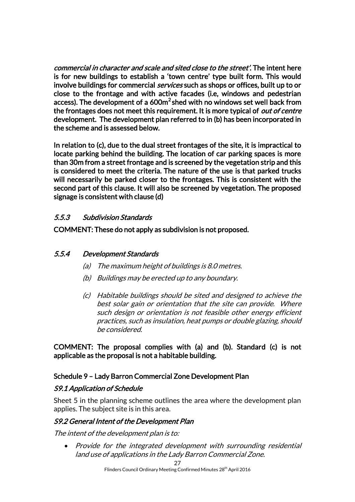commercial in character and scale and sited close to the street'. The intent here is for new buildings to establish a 'town centre' type built form. This would involve buildings for commercial *services* such as shops or offices, built up to or close to the frontage and with active facades (i.e, windows and pedestrian access). The development of a 600m<sup>2</sup> shed with no windows set well back from the frontages does not meet this requirement. It is more typical of *out of centre* development. The development plan referred to in (b) has been incorporated in the scheme and is assessed below.

In relation to (c), due to the dual street frontages of the site, it is impractical to locate parking behind the building. The location of car parking spaces is more than 30m from a street frontage and is screened by the vegetation strip and this is considered to meet the criteria. The nature of the use is that parked trucks will necessarily be parked closer to the frontages. This is consistent with the second part of this clause. It will also be screened by vegetation. The proposed signage is consistent with clause (d)

## 5.5.3 Subdivision Standards

COMMENT: These do not apply as subdivision is not proposed.

## 5.5.4 Development Standards

- (a) The maximum height of buildings is 8.0 metres.
- (b) Buildings may be erected up to any boundary.
- (c) Habitable buildings should be sited and designed to achieve the best solar gain or orientation that the site can provide. Where such design or orientation is not feasible other energy efficient practices, such as insulation, heat pumps or double glazing, should be considered.

COMMENT: The proposal complies with (a) and (b). Standard (c) is not applicable as the proposal is not a habitable building.

## Schedule 9 – Lady Barron Commercial Zone Development Plan

## S9.1 Application of Schedule

Sheet 5 in the planning scheme outlines the area where the development plan applies. The subject site is in this area.

## S9.2 General Intent of the Development Plan

The intent of the development plan is to:

• Provide for the integrated development with surrounding residential land use of applications in the Lady Barron Commercial Zone.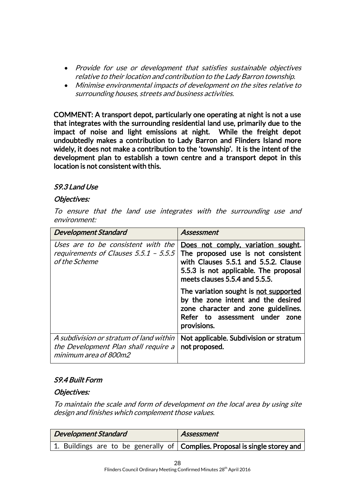- Provide for use or development that satisfies sustainable objectives relative to their location and contribution to the Lady Barron township.
- Minimise environmental impacts of development on the sites relative to surrounding houses, streets and business activities.

COMMENT: A transport depot, particularly one operating at night is not a use that integrates with the surrounding residential land use, primarily due to the impact of noise and light emissions at night. While the freight depot undoubtedly makes a contribution to Lady Barron and Flinders Island more widely, it does not make a contribution to the 'township'. It is the intent of the development plan to establish a town centre and a transport depot in this location is not consistent with this.

## S9.3 Land Use

#### Objectives:

To ensure that the land use integrates with the surrounding use and environment:

| <b>Development Standard</b>                                                                              | Assessment                                                                                                                                                                                  |
|----------------------------------------------------------------------------------------------------------|---------------------------------------------------------------------------------------------------------------------------------------------------------------------------------------------|
| Uses are to be consistent with the<br>requirements of Clauses 5.5.1 - 5.5.5<br>of the Scheme             | Does not comply, variation sought.<br>The proposed use is not consistent<br>with Clauses 5.5.1 and 5.5.2. Clause<br>5.5.3 is not applicable. The proposal<br>meets clauses 5.5.4 and 5.5.5. |
|                                                                                                          | The variation sought is not supported<br>by the zone intent and the desired<br>zone character and zone guidelines.<br>Refer to assessment under<br>zone<br>provisions.                      |
| A subdivision or stratum of land within<br>the Development Plan shall require a<br>minimum area of 800m2 | Not applicable. Subdivision or stratum<br>not proposed.                                                                                                                                     |

## S9.4 Built Form

#### Objectives:

To maintain the scale and form of development on the local area by using site design and finishes which complement those values.

| <b>Development Standard</b>                                                         | Assessment |
|-------------------------------------------------------------------------------------|------------|
| 1. Buildings are to be generally of $\vert$ Complies. Proposal is single storey and |            |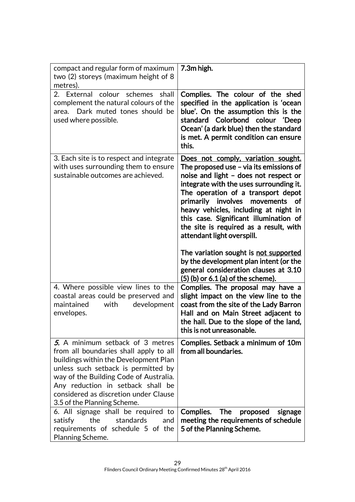| compact and regular form of maximum<br>two (2) storeys (maximum height of 8<br>metres).                                                                                                                                                                                                                           | 7.3m high.                                                                                                                                                                                                                                                                                                                                                                                                  |
|-------------------------------------------------------------------------------------------------------------------------------------------------------------------------------------------------------------------------------------------------------------------------------------------------------------------|-------------------------------------------------------------------------------------------------------------------------------------------------------------------------------------------------------------------------------------------------------------------------------------------------------------------------------------------------------------------------------------------------------------|
| 2. External colour schemes<br>shall<br>complement the natural colours of the<br>area. Dark muted tones should be<br>used where possible.                                                                                                                                                                          | Complies. The colour of the shed<br>specified in the application is 'ocean<br>blue'. On the assumption this is the<br>standard Colorbond colour 'Deep<br>Ocean' (a dark blue) then the standard<br>is met. A permit condition can ensure<br>this.                                                                                                                                                           |
| 3. Each site is to respect and integrate<br>with uses surrounding them to ensure<br>sustainable outcomes are achieved.                                                                                                                                                                                            | Does not comply, variation sought.<br>The proposed use – via its emissions of<br>noise and light - does not respect or<br>integrate with the uses surrounding it.<br>The operation of a transport depot<br>primarily involves<br>movements<br>of<br>heavy vehicles, including at night in<br>this case. Significant illumination of<br>the site is required as a result, with<br>attendant light overspill. |
|                                                                                                                                                                                                                                                                                                                   | The variation sought is not supported<br>by the development plan intent (or the<br>general consideration clauses at 3.10<br>(5) (b) or 6.1 (a) of the scheme).                                                                                                                                                                                                                                              |
| 4. Where possible view lines to the<br>coastal areas could be preserved and<br>maintained<br>with<br>development<br>envelopes.                                                                                                                                                                                    | Complies. The proposal may have a<br>slight impact on the view line to the<br>coast from the site of the Lady Barron<br>Hall and on Main Street adjacent to<br>the hall. Due to the slope of the land,<br>this is not unreasonable.                                                                                                                                                                         |
| 5. A minimum setback of 3 metres<br>from all boundaries shall apply to all<br>buildings within the Development Plan<br>unless such setback is permitted by<br>way of the Building Code of Australia.<br>Any reduction in setback shall be<br>considered as discretion under Clause<br>3.5 of the Planning Scheme. | Complies. Setback a minimum of 10m<br>from all boundaries.                                                                                                                                                                                                                                                                                                                                                  |
| 6. All signage shall be required to<br>the<br>standards<br>satisfy<br>and<br>requirements of schedule 5 of the<br>Planning Scheme.                                                                                                                                                                                | Complies.<br><b>The</b><br>proposed<br>signage<br>meeting the requirements of schedule<br>5 of the Planning Scheme.                                                                                                                                                                                                                                                                                         |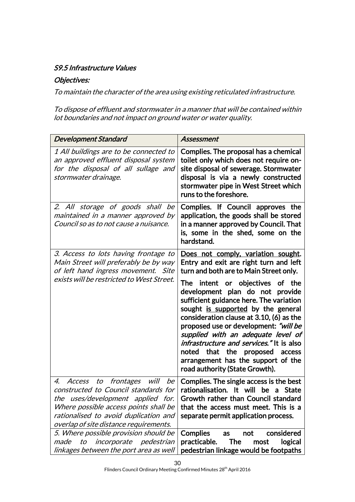## S9.5 Infrastructure Values

## Objectives:

To maintain the character of the area using existing reticulated infrastructure.

To dispose of effluent and stormwater in a manner that will be contained within lot boundaries and not impact on ground water or water quality.

| <b>Development Standard</b>                                                                                                                                                                                                                            | Assessment                                                                                                                                                                                                                                                                                                                                                                                                                                         |
|--------------------------------------------------------------------------------------------------------------------------------------------------------------------------------------------------------------------------------------------------------|----------------------------------------------------------------------------------------------------------------------------------------------------------------------------------------------------------------------------------------------------------------------------------------------------------------------------------------------------------------------------------------------------------------------------------------------------|
| 1 All buildings are to be connected to<br>an approved effluent disposal system<br>for the disposal of all sullage and<br>stormwater drainage.                                                                                                          | Complies. The proposal has a chemical<br>toilet only which does not require on-<br>site disposal of sewerage. Stormwater<br>disposal is via a newly constructed<br>stormwater pipe in West Street which<br>runs to the foreshore.                                                                                                                                                                                                                  |
| 2. All storage of goods shall be<br>maintained in a manner approved by<br>Council so as to not cause a nuisance.                                                                                                                                       | Complies. If Council approves the<br>application, the goods shall be stored<br>in a manner approved by Council. That<br>is, some in the shed, some on the<br>hardstand.                                                                                                                                                                                                                                                                            |
| 3. Access to lots having frontage to<br>Main Street will preferably be by way<br>of left hand ingress movement. Site                                                                                                                                   | Does not comply, variation sought.<br>Entry and exit are right turn and left<br>turn and both are to Main Street only.                                                                                                                                                                                                                                                                                                                             |
| exists will be restricted to West Street.                                                                                                                                                                                                              | intent or objectives of the<br>The<br>development plan do not provide<br>sufficient guidance here. The variation<br>sought is supported by the general<br>consideration clause at 3.10, (6) as the<br>proposed use or development: "will be<br>supplied with an adequate level of<br><i>infrastructure and services.</i> " It is also<br>noted that the proposed<br>access<br>arrangement has the support of the<br>road authority (State Growth). |
| frontages<br>will<br>be<br>4.<br>Access<br>to<br>constructed to Council standards for<br>the uses/development applied for.<br>Where possible access points shall be<br>rationalised to avoid duplication and<br>overlap of site distance requirements. | Complies. The single access is the best<br>rationalisation. It will be a State<br>Growth rather than Council standard<br>that the access must meet. This is a<br>separate permit application process.                                                                                                                                                                                                                                              |
| 5. Where possible provision should be<br>to<br><i>incorporate pedestrian</i><br>made<br>linkages between the port area as well                                                                                                                         | <b>Complies</b><br>considered<br>not<br>as<br>practicable.<br>logical<br><b>The</b><br>most<br>pedestrian linkage would be footpaths                                                                                                                                                                                                                                                                                                               |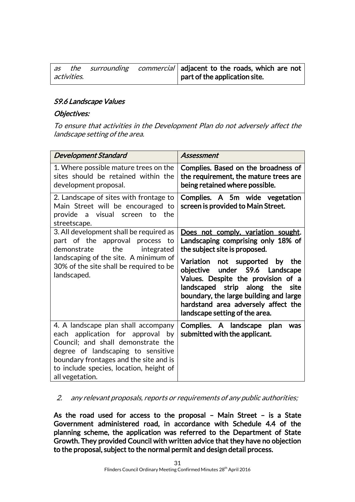| as |             |  | the surrounding commercial adjacent to the roads, which are not |
|----|-------------|--|-----------------------------------------------------------------|
|    | activities. |  | $\vert$ part of the application site.                           |

## S9.6 Landscape Values

## Objectives:

To ensure that activities in the Development Plan do not adversely affect the landscape setting of the area.

| <b>Development Standard</b>                                                                                                                                                                                                                                 | <b>Assessment</b>                                                                                                                                                                                                                                                     |
|-------------------------------------------------------------------------------------------------------------------------------------------------------------------------------------------------------------------------------------------------------------|-----------------------------------------------------------------------------------------------------------------------------------------------------------------------------------------------------------------------------------------------------------------------|
| 1. Where possible mature trees on the<br>sites should be retained within the<br>development proposal.                                                                                                                                                       | Complies. Based on the broadness of<br>the requirement, the mature trees are<br>being retained where possible.                                                                                                                                                        |
| 2. Landscape of sites with frontage to<br>Main Street will be encouraged to<br>provide a visual screen to the<br>streetscape.                                                                                                                               | Complies. A 5m wide vegetation<br>screen is provided to Main Street.                                                                                                                                                                                                  |
| 3. All development shall be required as<br>part of the approval process<br>to<br>the<br>demonstrate<br>integrated                                                                                                                                           | Does not comply, variation sought.<br>Landscaping comprising only 18% of<br>the subject site is proposed.                                                                                                                                                             |
| landscaping of the site. A minimum of<br>30% of the site shall be required to be<br>landscaped.                                                                                                                                                             | Variation not supported<br>by the<br>under S9.6 Landscape<br>objective<br>Values. Despite the provision of a<br>landscaped strip along the<br>site<br>boundary, the large building and large<br>hardstand area adversely affect the<br>landscape setting of the area. |
| 4. A landscape plan shall accompany<br>each application for approval by<br>Council; and shall demonstrate the<br>degree of landscaping to sensitive<br>boundary frontages and the site and is<br>to include species, location, height of<br>all vegetation. | Complies. A landscape plan<br>was<br>submitted with the applicant.                                                                                                                                                                                                    |

## 2. any relevant proposals, reports or requirements of any public authorities;

As the road used for access to the proposal – Main Street – is a State Government administered road, in accordance with Schedule 4.4 of the planning scheme, the application was referred to the Department of State Growth. They provided Council with written advice that they have no objection to the proposal, subject to the normal permit and design detail process.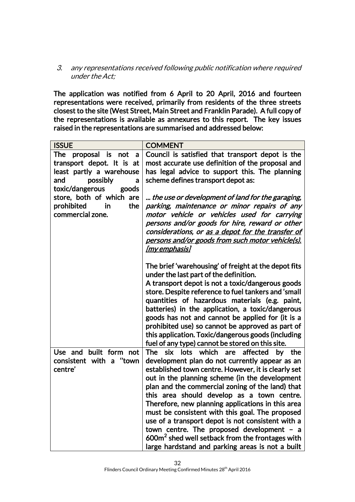3. any representations received following public notification where required under the Act;

The application was notified from 6 April to 20 April, 2016 and fourteen representations were received, primarily from residents of the three streets closest to the site (West Street, Main Street and Franklin Parade). A full copy of the representations is available as annexures to this report. The key issues raised in the representations are summarised and addressed below:

| <b>ISSUE</b>                                                                                                                       | <b>COMMENT</b>                                                                                                                                                                                                                                                                                                                                                                                                                                                                                                                                                                                                                                |
|------------------------------------------------------------------------------------------------------------------------------------|-----------------------------------------------------------------------------------------------------------------------------------------------------------------------------------------------------------------------------------------------------------------------------------------------------------------------------------------------------------------------------------------------------------------------------------------------------------------------------------------------------------------------------------------------------------------------------------------------------------------------------------------------|
| The proposal is not a<br>transport depot. It is at<br>least partly a warehouse<br>possibly<br>and<br>a<br>toxic/dangerous<br>goods | Council is satisfied that transport depot is the<br>most accurate use definition of the proposal and<br>has legal advice to support this. The planning<br>scheme defines transport depot as:                                                                                                                                                                                                                                                                                                                                                                                                                                                  |
| store, both of which are<br>prohibited<br>the<br>in<br>commercial zone.                                                            | the use or development of land for the garaging,<br>parking, maintenance or minor repairs of any<br>motor vehicle or vehicles used for carrying<br>persons and/or goods for hire, reward or other<br>considerations, or <u>as a depot for the transfer of</u><br><u>persons and/or goods from such motor vehicle(s).</u><br><u>[my emphasis]</u>                                                                                                                                                                                                                                                                                              |
|                                                                                                                                    | The brief 'warehousing' of freight at the depot fits<br>under the last part of the definition.<br>A transport depot is not a toxic/dangerous goods<br>store. Despite reference to fuel tankers and 'small<br>quantities of hazardous materials (e.g. paint,<br>batteries) in the application, a toxic/dangerous<br>goods has not and cannot be applied for (it is a<br>prohibited use) so cannot be approved as part of<br>this application. Toxic/dangerous goods (including<br>fuel of any type) cannot be stored on this site.                                                                                                             |
| Use and built form not<br>consistent with a "town<br>centre'                                                                       | <b>The</b><br>six lots which are affected<br>by the<br>development plan do not currently appear as an<br>established town centre. However, it is clearly set<br>out in the planning scheme (in the development<br>plan and the commercial zoning of the land) that<br>this area should develop as a town centre.<br>Therefore, new planning applications in this area<br>must be consistent with this goal. The proposed<br>use of a transport depot is not consistent with a<br>town centre. The proposed development - a<br>600m <sup>2</sup> shed well setback from the frontages with<br>large hardstand and parking areas is not a built |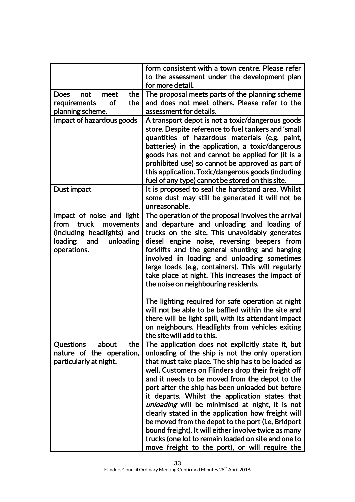|                                   | form consistent with a town centre. Please refer     |
|-----------------------------------|------------------------------------------------------|
|                                   | to the assessment under the development plan         |
|                                   | for more detail.                                     |
| <b>Does</b><br>not<br>meet<br>the | The proposal meets parts of the planning scheme      |
| requirements<br>the<br><b>of</b>  | and does not meet others. Please refer to the        |
| planning scheme.                  | assessment for details.                              |
| Impact of hazardous goods         | A transport depot is not a toxic/dangerous goods     |
|                                   | store. Despite reference to fuel tankers and 'small  |
|                                   | quantities of hazardous materials (e.g. paint,       |
|                                   | batteries) in the application, a toxic/dangerous     |
|                                   | goods has not and cannot be applied for (it is a     |
|                                   | prohibited use) so cannot be approved as part of     |
|                                   | this application. Toxic/dangerous goods (including   |
|                                   | fuel of any type) cannot be stored on this site.     |
| Dust impact                       | It is proposed to seal the hardstand area. Whilst    |
|                                   | some dust may still be generated it will not be      |
|                                   | unreasonable.                                        |
| Impact of noise and light         | The operation of the proposal involves the arrival   |
| truck<br>from<br>movements        | and departure and unloading and loading of           |
| (including headlights) and        | trucks on the site. This unavoidably generates       |
| loading<br>and<br>unloading       | diesel engine noise, reversing beepers from          |
| operations.                       | forklifts and the general shunting and banging       |
|                                   | involved in loading and unloading sometimes          |
|                                   | large loads (e.g, containers). This will regularly   |
|                                   | take place at night. This increases the impact of    |
|                                   | the noise on neighbouring residents.                 |
|                                   | The lighting required for safe operation at night    |
|                                   | will not be able to be baffled within the site and   |
|                                   | there will be light spill, with its attendant impact |
|                                   | on neighbours. Headlights from vehicles exiting      |
|                                   | the site will add to this.                           |
| <b>Questions</b><br>about<br>the  | The application does not explicitly state it, but    |
| nature of the operation,          | unloading of the ship is not the only operation      |
| particularly at night.            | that must take place. The ship has to be loaded as   |
|                                   | well. Customers on Flinders drop their freight off   |
|                                   | and it needs to be moved from the depot to the       |
|                                   | port after the ship has been unloaded but before     |
|                                   | it departs. Whilst the application states that       |
|                                   | unloading will be minimised at night, it is not      |
|                                   | clearly stated in the application how freight will   |
|                                   | be moved from the depot to the port (i.e, Bridport   |
|                                   | bound freight). It will either involve twice as many |
|                                   | trucks (one lot to remain loaded on site and one to  |
|                                   | move freight to the port), or will require the       |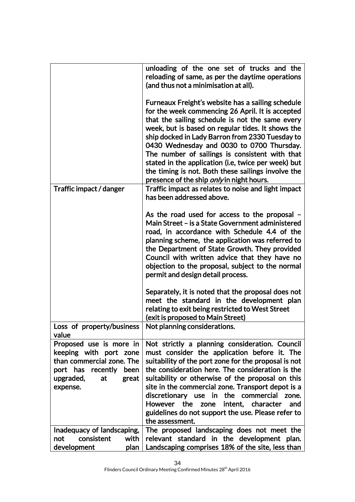|                                                                                                                                                     | unloading of the one set of trucks and the<br>reloading of same, as per the daytime operations<br>(and thus not a minimisation at all).                                                                                                                                                                                                                                                                                                                                                                                          |
|-----------------------------------------------------------------------------------------------------------------------------------------------------|----------------------------------------------------------------------------------------------------------------------------------------------------------------------------------------------------------------------------------------------------------------------------------------------------------------------------------------------------------------------------------------------------------------------------------------------------------------------------------------------------------------------------------|
|                                                                                                                                                     | Furneaux Freight's website has a sailing schedule<br>for the week commencing 26 April. It is accepted<br>that the sailing schedule is not the same every<br>week, but is based on regular tides. It shows the<br>ship docked in Lady Barron from 2330 Tuesday to<br>0430 Wednesday and 0030 to 0700 Thursday.<br>The number of sailings is consistent with that<br>stated in the application (i.e, twice per week) but<br>the timing is not. Both these sailings involve the<br>presence of the ship <i>only</i> in night hours. |
| Traffic impact / danger                                                                                                                             | Traffic impact as relates to noise and light impact<br>has been addressed above.                                                                                                                                                                                                                                                                                                                                                                                                                                                 |
|                                                                                                                                                     | As the road used for access to the proposal -<br>Main Street – is a State Government administered<br>road, in accordance with Schedule 4.4 of the<br>planning scheme, the application was referred to<br>the Department of State Growth. They provided<br>Council with written advice that they have no<br>objection to the proposal, subject to the normal<br>permit and design detail process.                                                                                                                                 |
|                                                                                                                                                     | Separately, it is noted that the proposal does not<br>meet the standard in the development plan<br>relating to exit being restricted to West Street<br>(exit is proposed to Main Street)                                                                                                                                                                                                                                                                                                                                         |
| Loss of property/business<br>value                                                                                                                  | Not planning considerations.                                                                                                                                                                                                                                                                                                                                                                                                                                                                                                     |
| Proposed use is more in<br>keeping with port zone<br>than commercial zone. The<br>port has recently<br>been<br>upgraded,<br>at<br>great<br>expense. | Not strictly a planning consideration. Council<br>must consider the application before it. The<br>suitability of the port zone for the proposal is not<br>the consideration here. The consideration is the<br>suitability or otherwise of the proposal on this<br>site in the commercial zone. Transport depot is a<br>discretionary use in the commercial<br>zone.<br>intent, character<br>the<br><b>However</b><br>zone<br>and<br>guidelines do not support the use. Please refer to<br>the assessment.                        |
| Inadequacy of landscaping,<br>consistent<br>with<br>not<br>development<br>plan                                                                      | The proposed landscaping does not meet the<br>relevant standard in the development plan.<br>Landscaping comprises 18% of the site, less than                                                                                                                                                                                                                                                                                                                                                                                     |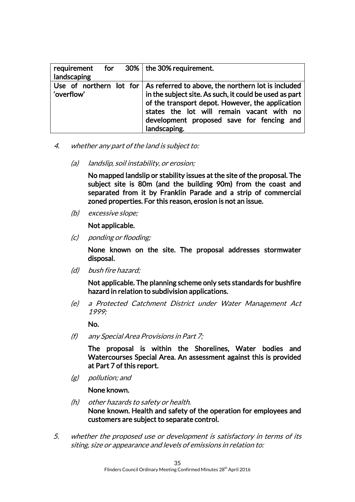| requirement for $30\%$ the 30% requirement.<br>landscaping |                                                                                                                                                                                                                                                                                                            |
|------------------------------------------------------------|------------------------------------------------------------------------------------------------------------------------------------------------------------------------------------------------------------------------------------------------------------------------------------------------------------|
| 'overflow'                                                 | Use of northern lot for $\vert$ As referred to above, the northern lot is included<br>in the subject site. As such, it could be used as part<br>of the transport depot. However, the application<br>states the lot will remain vacant with no<br>development proposed save for fencing and<br>landscaping. |

- 4. whether any part of the land is subject to:
	- (a) landslip, soil instability, or erosion;

No mapped landslip or stability issues at the site of the proposal. The subject site is 80m (and the building 90m) from the coast and separated from it by Franklin Parade and a strip of commercial zoned properties. For this reason, erosion is not an issue.

(b) excessive slope;

Not applicable.

(c) ponding or flooding;

None known on the site. The proposal addresses stormwater disposal.

(d) bush fire hazard;

Not applicable. The planning scheme only sets standards for bushfire hazard in relation to subdivision applications.

(e) a Protected Catchment District under Water Management Act 1999;

No.

(f) any Special Area Provisions in Part 7;

The proposal is within the Shorelines, Water bodies and Watercourses Special Area. An assessment against this is provided at Part 7 of this report.

(g) pollution; and

None known.

- (h) other hazards to safety or health. None known. Health and safety of the operation for employees and customers are subject to separate control.
- 5. whether the proposed use or development is satisfactory in terms of its siting, size or appearance and levels of emissions in relation to: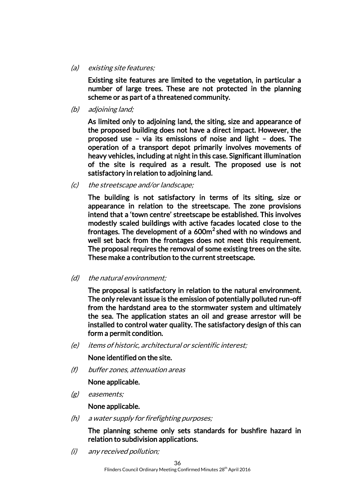(a) existing site features;

Existing site features are limited to the vegetation, in particular a number of large trees. These are not protected in the planning scheme or as part of a threatened community.

(b) adjoining land;

As limited only to adjoining land, the siting, size and appearance of the proposed building does not have a direct impact. However, the proposed use – via its emissions of noise and light – does. The operation of a transport depot primarily involves movements of heavy vehicles, including at night in this case. Significant illumination of the site is required as a result. The proposed use is not satisfactory in relation to adjoining land.

(c) the streetscape and/or landscape;

The building is not satisfactory in terms of its siting, size or appearance in relation to the streetscape. The zone provisions intend that a 'town centre' streetscape be established. This involves modestly scaled buildings with active facades located close to the frontages. The development of a  $600m^2$  shed with no windows and well set back from the frontages does not meet this requirement. The proposal requires the removal of some existing trees on the site. These make a contribution to the current streetscape.

(d) the natural environment;

The proposal is satisfactory in relation to the natural environment. The only relevant issue is the emission of potentially polluted run-off from the hardstand area to the stormwater system and ultimately the sea. The application states an oil and grease arrestor will be installed to control water quality. The satisfactory design of this can form a permit condition.

(e) items of historic, architectural or scientific interest;

#### None identified on the site.

(f) buffer zones, attenuation areas

#### None applicable.

(g) easements;

None applicable.

(h) a water supply for firefighting purposes;

The planning scheme only sets standards for bushfire hazard in relation to subdivision applications.

(i) any received pollution;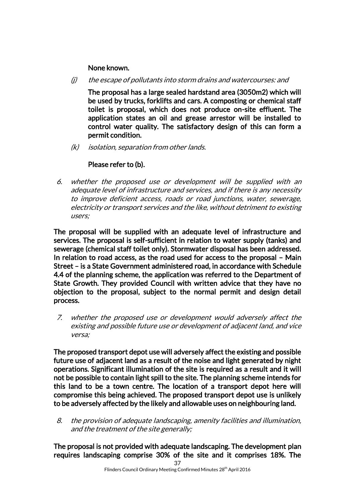## None known.

(j) the escape of pollutants into storm drains and watercourses: and

The proposal has a large sealed hardstand area (3050m2) which will be used by trucks, forklifts and cars. A composting or chemical staff toilet is proposal, which does not produce on-site effluent. The application states an oil and grease arrestor will be installed to control water quality. The satisfactory design of this can form a permit condition.

(k) isolation, separation from other lands.

## Please refer to (b).

6. whether the proposed use or development will be supplied with an adequate level of infrastructure and services, and if there is any necessity to improve deficient access, roads or road junctions, water, sewerage, electricity or transport services and the like, without detriment to existing users;

The proposal will be supplied with an adequate level of infrastructure and services. The proposal is self-sufficient in relation to water supply (tanks) and sewerage (chemical staff toilet only). Stormwater disposal has been addressed. In relation to road access, as the road used for access to the proposal – Main Street – is a State Government administered road, in accordance with Schedule 4.4 of the planning scheme, the application was referred to the Department of State Growth. They provided Council with written advice that they have no objection to the proposal, subject to the normal permit and design detail process.

7. whether the proposed use or development would adversely affect the existing and possible future use or development of adjacent land, and vice versa;

The proposed transport depot use will adversely affect the existing and possible future use of adjacent land as a result of the noise and light generated by night operations. Significant illumination of the site is required as a result and it will not be possible to contain light spill to the site. The planning scheme intends for this land to be a town centre. The location of a transport depot here will compromise this being achieved. The proposed transport depot use is unlikely to be adversely affected by the likely and allowable uses on neighbouring land.

8. the provision of adequate landscaping, amenity facilities and illumination, and the treatment of the site generally;

The proposal is not provided with adequate landscaping. The development plan requires landscaping comprise 30% of the site and it comprises 18%. The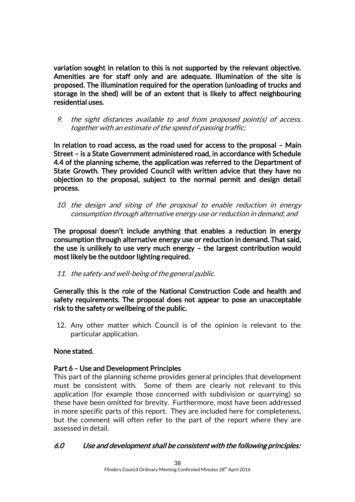variation sought in relation to this is not supported by the relevant objective. Amenities are for staff only and are adequate. Illumination of the site is proposed. The illumination required for the operation (unloading of trucks and storage in the shed) will be of an extent that is likely to affect neighbouring residential uses.

9. the sight distances available to and from proposed point(s) of access, together with an estimate of the speed of passing traffic;

In relation to road access, as the road used for access to the proposal – Main Street – is a State Government administered road, in accordance with Schedule 4.4 of the planning scheme, the application was referred to the Department of State Growth. They provided Council with written advice that they have no objection to the proposal, subject to the normal permit and design detail process.

10. the design and siting of the proposal to enable reduction in energy consumption through alternative energy use or reduction in demand; and

The proposal doesn't include anything that enables a reduction in energy consumption through alternative energy use or reduction in demand. That said, the use is unlikely to use very much energy – the largest contribution would most likely be the outdoor lighting required.

11. the safety and well-being of the general public.

Generally this is the role of the National Construction Code and health and safety requirements. The proposal does not appear to pose an unacceptable risk to the safety or wellbeing of the public.

12. Any other matter which Council is of the opinion is relevant to the particular application.

## None stated.

## Part 6 – Use and Development Principles

This part of the planning scheme provides general principles that development must be consistent with. Some of them are clearly not relevant to this application (for example those concerned with subdivision or quarrying) so these have been omitted for brevity. Furthermore, most have been addressed in more specific parts of this report. They are included here for completeness, but the comment will often refer to the part of the report where they are assessed in detail.

## 6.0 Use and development shall be consistent with the following principles: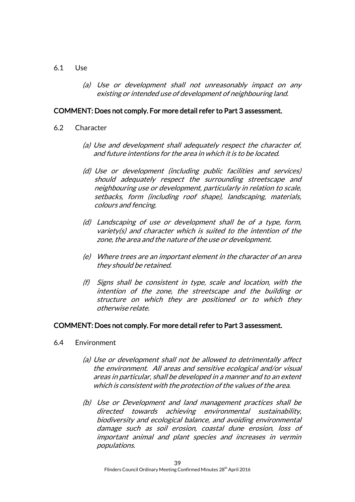#### 6.1 Use

(a) Use or development shall not unreasonably impact on any existing or intended use of development of neighbouring land.

#### COMMENT: Does not comply. For more detail refer to Part 3 assessment.

- 6.2 Character
	- (a) Use and development shall adequately respect the character of, and future intentions for the area in which it is to be located.
	- (d) Use or development (including public facilities and services) should adequately respect the surrounding streetscape and neighbouring use or development, particularly in relation to scale, setbacks, form (including roof shape), landscaping, materials, colours and fencing.
	- (d) Landscaping of use or development shall be of a type, form, variety(s) and character which is suited to the intention of the zone, the area and the nature of the use or development.
	- (e) Where trees are an important element in the character of an area they should be retained.
	- (f) Signs shall be consistent in type, scale and location, with the intention of the zone, the streetscape and the building or structure on which they are positioned or to which they otherwise relate.

#### COMMENT: Does not comply. For more detail refer to Part 3 assessment.

- 6.4 Environment
	- (a) Use or development shall not be allowed to detrimentally affect the environment. All areas and sensitive ecological and/or visual areas in particular, shall be developed in a manner and to an extent which is consistent with the protection of the values of the area.
	- (b) Use or Development and land management practices shall be directed towards achieving environmental sustainability, biodiversity and ecological balance, and avoiding environmental damage such as soil erosion, coastal dune erosion, loss of important animal and plant species and increases in vermin populations.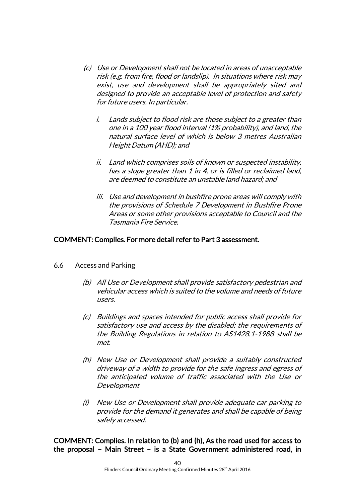- (c) Use or Development shall not be located in areas of unacceptable risk (e.g. from fire, flood or landslip). In situations where risk may exist, use and development shall be appropriately sited and designed to provide an acceptable level of protection and safety for future users. In particular.
	- i. Lands subject to flood risk are those subject to a greater than one in a 100 year flood interval (1% probability), and land, the natural surface level of which is below 3 metres Australian Height Datum (AHD); and
	- ii. Land which comprises soils of known or suspected instability, has a slope greater than 1 in 4, or is filled or reclaimed land, are deemed to constitute an unstable land hazard; and
	- iii. Use and development in bushfire prone areas will comply with the provisions of Schedule 7 Development in Bushfire Prone Areas or some other provisions acceptable to Council and the Tasmania Fire Service.

## COMMENT: Complies. For more detail refer to Part 3 assessment.

- 6.6 Access and Parking
	- (b) All Use or Development shall provide satisfactory pedestrian and vehicular access which is suited to the volume and needs of future users.
	- (c) Buildings and spaces intended for public access shall provide for satisfactory use and access by the disabled; the requirements of the Building Regulations in relation to AS1428.1-1988 shall be met.
	- (h) New Use or Development shall provide a suitably constructed driveway of a width to provide for the safe ingress and egress of the anticipated volume of traffic associated with the Use or Development
	- (i) New Use or Development shall provide adequate car parking to provide for the demand it generates and shall be capable of being safely accessed.

COMMENT: Complies. In relation to (b) and (h), As the road used for access to the proposal – Main Street – is a State Government administered road, in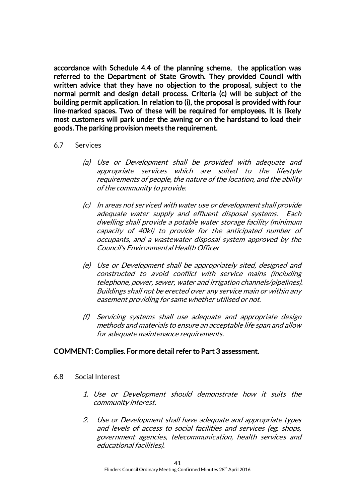accordance with Schedule 4.4 of the planning scheme, the application was referred to the Department of State Growth. They provided Council with written advice that they have no objection to the proposal, subject to the normal permit and design detail process. Criteria (c) will be subject of the building permit application. In relation to (i), the proposal is provided with four line-marked spaces. Two of these will be required for employees. It is likely most customers will park under the awning or on the hardstand to load their goods. The parking provision meets the requirement.

- 6.7 Services
	- (a) Use or Development shall be provided with adequate and appropriate services which are suited to the lifestyle requirements of people, the nature of the location, and the ability of the community to provide.
	- (c) In areas not serviced with water use or development shall provide adequate water supply and effluent disposal systems. Each dwelling shall provide a potable water storage facility (minimum capacity of 40kl) to provide for the anticipated number of occupants, and a wastewater disposal system approved by the Council's Environmental Health Officer
	- (e) Use or Development shall be appropriately sited, designed and constructed to avoid conflict with service mains (including telephone, power, sewer, water and irrigation channels/pipelines). Buildings shall not be erected over any service main or within any easement providing for same whether utilised or not.
	- (f) Servicing systems shall use adequate and appropriate design methods and materials to ensure an acceptable life span and allow for adequate maintenance requirements.

#### COMMENT: Complies. For more detail refer to Part 3 assessment.

- 6.8 Social Interest
	- 1. Use or Development should demonstrate how it suits the community interest.
	- 2. Use or Development shall have adequate and appropriate types and levels of access to social facilities and services (eg. shops, government agencies, telecommunication, health services and educational facilities).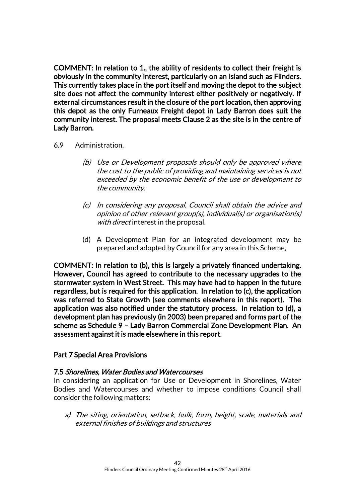COMMENT: In relation to 1., the ability of residents to collect their freight is obviously in the community interest, particularly on an island such as Flinders. This currently takes place in the port itself and moving the depot to the subject site does not affect the community interest either positively or negatively. If external circumstances result in the closure of the port location, then approving this depot as the only Furneaux Freight depot in Lady Barron does suit the community interest. The proposal meets Clause 2 as the site is in the centre of Lady Barron.

#### 6.9 Administration.

- (b) Use or Development proposals should only be approved where the cost to the public of providing and maintaining services is not exceeded by the economic benefit of the use or development to the community.
- (c) In considering any proposal, Council shall obtain the advice and opinion of other relevant group(s), individual(s) or organisation(s) with direct interest in the proposal.
- (d) A Development Plan for an integrated development may be prepared and adopted by Council for any area in this Scheme,

COMMENT: In relation to (b), this is largely a privately financed undertaking. However, Council has agreed to contribute to the necessary upgrades to the stormwater system in West Street. This may have had to happen in the future regardless, but is required for this application. In relation to (c), the application was referred to State Growth (see comments elsewhere in this report). The application was also notified under the statutory process. In relation to (d), a development plan has previously (in 2003) been prepared and forms part of the scheme as Schedule 9 – Lady Barron Commercial Zone Development Plan. An assessment against it is made elsewhere in this report.

#### Part 7 Special Area Provisions

#### 7.5 Shorelines, Water Bodies and Watercourses

In considering an application for Use or Development in Shorelines, Water Bodies and Watercourses and whether to impose conditions Council shall consider the following matters:

a) The siting, orientation, setback, bulk, form, height, scale, materials and external finishes of buildings and structures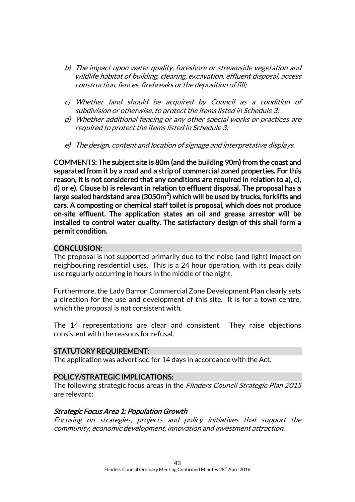- b) The impact upon water quality, foreshore or streamside vegetation and wildlife habitat of building, clearing, excavation, effluent disposal, access construction, fences, firebreaks or the deposition of fill;
- c) Whether land should be acquired by Council as a condition of subdivision or otherwise, to protect the items listed in Schedule 3;
- d) Whether additional fencing or any other special works or practices are required to protect the items listed in Schedule 3;
- e) The design, content and location of signage and interpretative displays.

COMMENTS: The subject site is 80m (and the building 90m) from the coast and separated from it by a road and a strip of commercial zoned properties. For this reason, it is not considered that any conditions are required in relation to a), c), d) or e). Clause b) is relevant in relation to effluent disposal. The proposal has a large sealed hardstand area (3050m $^2$ ) which will be used by trucks, forklifts and cars. A composting or chemical staff toilet is proposal, which does not produce on-site effluent. The application states an oil and grease arrestor will be installed to control water quality. The satisfactory design of this shall form a permit condition.

## CONCLUSION:

The proposal is not supported primarily due to the noise (and light) impact on neighbouring residential uses. This is a 24 hour operation, with its peak daily use regularly occurring in hours in the middle of the night.

Furthermore, the Lady Barron Commercial Zone Development Plan clearly sets a direction for the use and development of this site. It is for a town centre, which the proposal is not consistent with.

The 14 representations are clear and consistent. They raise objections consistent with the reasons for refusal.

## STATUTORY REQUIREMENT:

The application was advertised for 14 days in accordance with the Act.

## POLICY/STRATEGIC IMPLICATIONS:

The following strategic focus areas in the Flinders Council Strategic Plan 2015 are relevant:

## Strategic Focus Area 1: Population Growth

Focusing on strategies, projects and policy initiatives that support the community, economic development, innovation and investment attraction.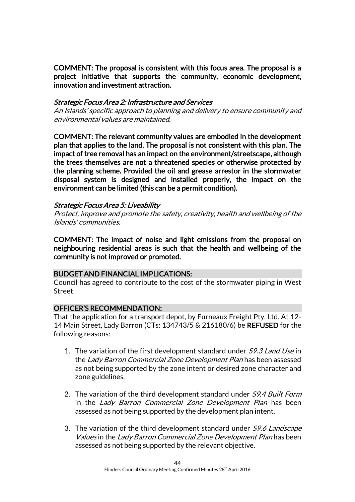COMMENT: The proposal is consistent with this focus area. The proposal is a project initiative that supports the community, economic development, innovation and investment attraction.

#### Strategic Focus Area 2: Infrastructure and Services

An Islands' specific approach to planning and delivery to ensure community and environmental values are maintained.

COMMENT: The relevant community values are embodied in the development plan that applies to the land. The proposal is not consistent with this plan. The impact of tree removal has an impact on the environment/streetscape, although the trees themselves are not a threatened species or otherwise protected by the planning scheme. Provided the oil and grease arrestor in the stormwater disposal system is designed and installed properly, the impact on the environment can be limited (this can be a permit condition).

#### Strategic Focus Area 5: Liveability

Protect, improve and promote the safety, creativity, health and wellbeing of the Islands' communities.

COMMENT: The impact of noise and light emissions from the proposal on neighbouring residential areas is such that the health and wellbeing of the community is not improved or promoted.

## BUDGET AND FINANCIAL IMPLICATIONS:

Council has agreed to contribute to the cost of the stormwater piping in West Street.

## OFFICER'S RECOMMENDATION:

That the application for a transport depot, by Furneaux Freight Pty. Ltd. At 12- 14 Main Street, Lady Barron (CTs: 134743/5 & 216180/6) be REFUSED for the following reasons:

- 1. The variation of the first development standard under S9.3 Land Use in the Lady Barron Commercial Zone Development Plan has been assessed as not being supported by the zone intent or desired zone character and zone guidelines.
- 2. The variation of the third development standard under *S9.4 Built Form* in the Lady Barron Commercial Zone Development Plan has been assessed as not being supported by the development plan intent.
- 3. The variation of the third development standard under S9.6 Landscape Values in the Lady Barron Commercial Zone Development Plan has been assessed as not being supported by the relevant objective.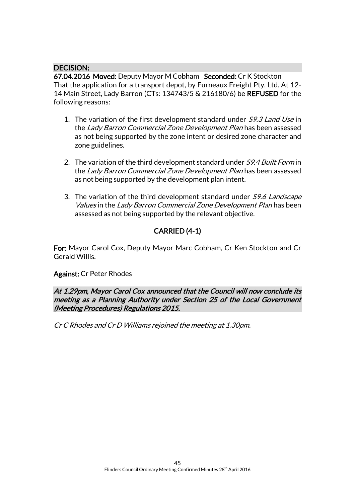## DECISION:

67.04.2016 Moved: Deputy Mayor M Cobham Seconded: Cr K Stockton That the application for a transport depot, by Furneaux Freight Pty. Ltd. At 12- 14 Main Street, Lady Barron (CTs: 134743/5 & 216180/6) be REFUSED for the following reasons:

- 1. The variation of the first development standard under S9.3 Land Use in the Lady Barron Commercial Zone Development Plan has been assessed as not being supported by the zone intent or desired zone character and zone guidelines.
- 2. The variation of the third development standard under S9.4 Built Form in the Lady Barron Commercial Zone Development Plan has been assessed as not being supported by the development plan intent.
- 3. The variation of the third development standard under S9.6 Landscape Values in the Lady Barron Commercial Zone Development Plan has been assessed as not being supported by the relevant objective.

## CARRIED (4-1)

For: Mayor Carol Cox, Deputy Mayor Marc Cobham, Cr Ken Stockton and Cr Gerald Willis.

#### Against: Cr Peter Rhodes

At 1.29pm, Mayor Carol Cox announced that the Council will now conclude its meeting as a Planning Authority under Section 25 of the Local Government (Meeting Procedures) Regulations 2015.

Cr C Rhodes and Cr D Williams rejoined the meeting at 1.30pm.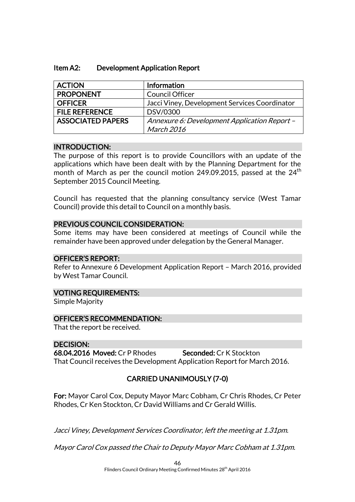| <b>ACTION</b>            | Information                                   |
|--------------------------|-----------------------------------------------|
| <b>PROPONENT</b>         | <b>Council Officer</b>                        |
| <b>OFFICER</b>           | Jacci Viney, Development Services Coordinator |
| <b>FILE REFERENCE</b>    | DSV/0300                                      |
| <b>ASSOCIATED PAPERS</b> | Annexure 6: Development Application Report -  |
|                          | March 2016                                    |

#### INTRODUCTION:

The purpose of this report is to provide Councillors with an update of the applications which have been dealt with by the Planning Department for the month of March as per the council motion 249.09.2015, passed at the  $24<sup>th</sup>$ September 2015 Council Meeting.

Council has requested that the planning consultancy service (West Tamar Council) provide this detail to Council on a monthly basis.

## PREVIOUS COUNCIL CONSIDERATION:

Some items may have been considered at meetings of Council while the remainder have been approved under delegation by the General Manager.

## OFFICER'S REPORT:

Refer to Annexure 6 Development Application Report – March 2016, provided by West Tamar Council.

#### VOTING REQUIREMENTS:

Simple Majority

## OFFICER'S RECOMMENDATION:

That the report be received.

## DECISION:

68.04.2016 Moved: Cr P Rhodes Seconded: Cr K Stockton That Council receives the Development Application Report for March 2016.

## CARRIED UNANIMOUSLY (7-0)

For: Mayor Carol Cox, Deputy Mayor Marc Cobham, Cr Chris Rhodes, Cr Peter Rhodes, Cr Ken Stockton, Cr David Williams and Cr Gerald Willis.

Jacci Viney, Development Services Coordinator, left the meeting at 1.31pm.

Mayor Carol Cox passed the Chair to Deputy Mayor Marc Cobham at 1.31pm.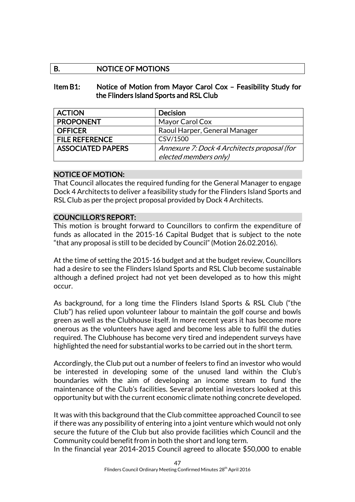## B. NOTICE OF MOTIONS

## Item B1: Notice of Motion from Mayor Carol Cox – Feasibility Study for the Flinders Island Sports and RSL Club

| <b>ACTION</b>            | Decision                                    |
|--------------------------|---------------------------------------------|
| <b>PROPONENT</b>         | Mayor Carol Cox                             |
| <b>OFFICER</b>           | Raoul Harper, General Manager               |
| <b>FILE REFERENCE</b>    | CSV/1500                                    |
| <b>ASSOCIATED PAPERS</b> | Annexure 7: Dock 4 Architects proposal (for |
|                          | elected members only)                       |

## NOTICE OF MOTION:

That Council allocates the required funding for the General Manager to engage Dock 4 Architects to deliver a feasibility study for the Flinders Island Sports and RSL Club as per the project proposal provided by Dock 4 Architects.

## COUNCILLOR'S REPORT:

This motion is brought forward to Councillors to confirm the expenditure of funds as allocated in the 2015-16 Capital Budget that is subject to the note "that any proposal is still to be decided by Council" (Motion 26.02.2016).

At the time of setting the 2015-16 budget and at the budget review, Councillors had a desire to see the Flinders Island Sports and RSL Club become sustainable although a defined project had not yet been developed as to how this might occur.

As background, for a long time the Flinders Island Sports & RSL Club ("the Club") has relied upon volunteer labour to maintain the golf course and bowls green as well as the Clubhouse itself. In more recent years it has become more onerous as the volunteers have aged and become less able to fulfil the duties required. The Clubhouse has become very tired and independent surveys have highlighted the need for substantial works to be carried out in the short term.

Accordingly, the Club put out a number of feelers to find an investor who would be interested in developing some of the unused land within the Club's boundaries with the aim of developing an income stream to fund the maintenance of the Club's facilities. Several potential investors looked at this opportunity but with the current economic climate nothing concrete developed.

It was with this background that the Club committee approached Council to see if there was any possibility of entering into a joint venture which would not only secure the future of the Club but also provide facilities which Council and the Community could benefit from in both the short and long term.

In the financial year 2014-2015 Council agreed to allocate \$50,000 to enable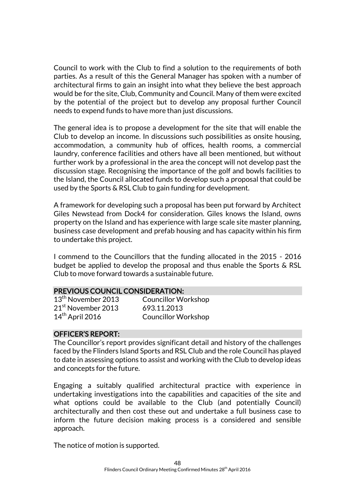Council to work with the Club to find a solution to the requirements of both parties. As a result of this the General Manager has spoken with a number of architectural firms to gain an insight into what they believe the best approach would be for the site, Club, Community and Council. Many of them were excited by the potential of the project but to develop any proposal further Council needs to expend funds to have more than just discussions.

The general idea is to propose a development for the site that will enable the Club to develop an income. In discussions such possibilities as onsite housing, accommodation, a community hub of offices, health rooms, a commercial laundry, conference facilities and others have all been mentioned, but without further work by a professional in the area the concept will not develop past the discussion stage. Recognising the importance of the golf and bowls facilities to the Island, the Council allocated funds to develop such a proposal that could be used by the Sports & RSL Club to gain funding for development.

A framework for developing such a proposal has been put forward by Architect Giles Newstead from Dock4 for consideration. Giles knows the Island, owns property on the Island and has experience with large scale site master planning, business case development and prefab housing and has capacity within his firm to undertake this project.

I commend to the Councillors that the funding allocated in the 2015 - 2016 budget be applied to develop the proposal and thus enable the Sports & RSL Club to move forward towards a sustainable future.

#### PREVIOUS COUNCIL CONSIDERATION:

21<sup>st</sup> November 2013 693.11.2013 14<sup>th</sup> April 2016 Councillor Workshop

13<sup>th</sup> November 2013 Councillor Workshop

#### OFFICER'S REPORT:

The Councillor's report provides significant detail and history of the challenges faced by the Flinders Island Sports and RSL Club and the role Council has played to date in assessing options to assist and working with the Club to develop ideas and concepts for the future.

Engaging a suitably qualified architectural practice with experience in undertaking investigations into the capabilities and capacities of the site and what options could be available to the Club (and potentially Council) architecturally and then cost these out and undertake a full business case to inform the future decision making process is a considered and sensible approach.

The notice of motion is supported.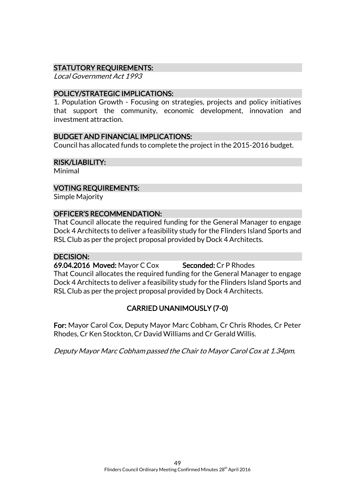## STATUTORY REQUIREMENTS:

Local Government Act 1993

#### POLICY/STRATEGIC IMPLICATIONS:

1. Population Growth - Focusing on strategies, projects and policy initiatives that support the community, economic development, innovation and investment attraction.

#### BUDGET AND FINANCIAL IMPLICATIONS:

Council has allocated funds to complete the project in the 2015-2016 budget.

#### RISK/LIABILITY:

Minimal

#### VOTING REQUIREMENTS:

Simple Majority

#### OFFICER'S RECOMMENDATION:

That Council allocate the required funding for the General Manager to engage Dock 4 Architects to deliver a feasibility study for the Flinders Island Sports and RSL Club as per the project proposal provided by Dock 4 Architects.

#### DECISION:

69.04.2016 Moved: Mayor C Cox Seconded: Cr P Rhodes That Council allocates the required funding for the General Manager to engage Dock 4 Architects to deliver a feasibility study for the Flinders Island Sports and RSL Club as per the project proposal provided by Dock 4 Architects.

## CARRIED UNANIMOUSLY (7-0)

For: Mayor Carol Cox, Deputy Mayor Marc Cobham, Cr Chris Rhodes, Cr Peter Rhodes, Cr Ken Stockton, Cr David Williams and Cr Gerald Willis.

Deputy Mayor Marc Cobham passed the Chair to Mayor Carol Cox at 1.34pm.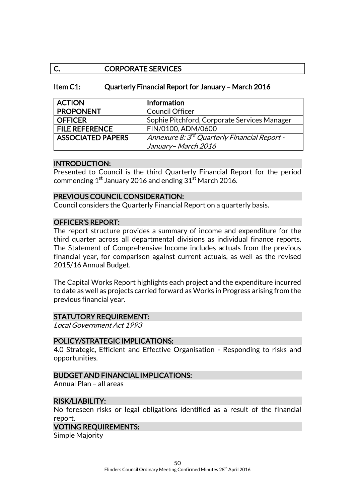## C. CORPORATE SERVICES

#### Item C1: Quarterly Financial Report for January – March 2016

| <b>ACTION</b>            | Information                                              |
|--------------------------|----------------------------------------------------------|
| <b>PROPONENT</b>         | <b>Council Officer</b>                                   |
| <b>OFFICER</b>           | Sophie Pitchford, Corporate Services Manager             |
| <b>FILE REFERENCE</b>    | FIN/0100, ADM/0600                                       |
| <b>ASSOCIATED PAPERS</b> | Annexure 8: 3 <sup>rd</sup> Quarterly Financial Report - |
|                          | January-March 2016                                       |

#### INTRODUCTION:

Presented to Council is the third Quarterly Financial Report for the period commencing  $1^{st}$  January 2016 and ending  $31^{st}$  March 2016.

#### PREVIOUS COUNCIL CONSIDERATION:

Council considers the Quarterly Financial Report on a quarterly basis.

#### OFFICER'S REPORT:

The report structure provides a summary of income and expenditure for the third quarter across all departmental divisions as individual finance reports. The Statement of Comprehensive Income includes actuals from the previous financial year, for comparison against current actuals, as well as the revised 2015/16 Annual Budget.

The Capital Works Report highlights each project and the expenditure incurred to date as well as projects carried forward as Works in Progress arising from the previous financial year.

#### STATUTORY REQUIREMENT:

Local Government Act 1993

#### POLICY/STRATEGIC IMPLICATIONS:

4.0 Strategic, Efficient and Effective Organisation - Responding to risks and opportunities.

#### BUDGET AND FINANCIAL IMPLICATIONS:

Annual Plan – all areas

#### RISK/LIABILITY:

No foreseen risks or legal obligations identified as a result of the financial report.

#### VOTING REQUIREMENTS:

Simple Majority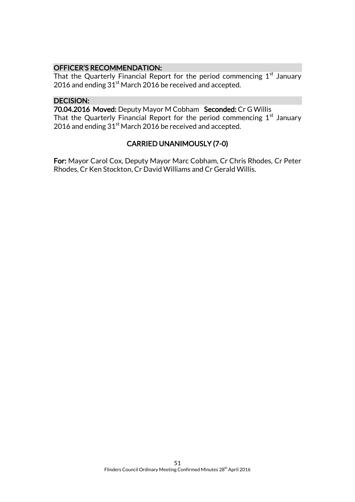## OFFICER'S RECOMMENDATION:

That the Quarterly Financial Report for the period commencing  $1<sup>st</sup>$  January 2016 and ending 31<sup>st</sup> March 2016 be received and accepted.

## DECISION:

70.04.2016 Moved: Deputy Mayor M Cobham Seconded: Cr G Willis That the Quarterly Financial Report for the period commencing  $1<sup>st</sup>$  January 2016 and ending  $31<sup>st</sup>$  March 2016 be received and accepted.

## CARRIED UNANIMOUSLY (7-0)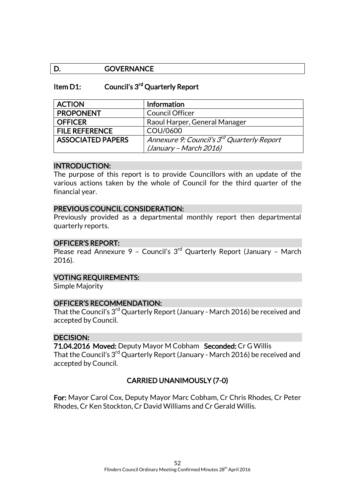## D. **GOVERNANCE**

#### Item D1: Council's 3<sup>rd</sup> Quarterly Report

| <b>ACTION</b>            | <b>Information</b>                                     |
|--------------------------|--------------------------------------------------------|
| <b>PROPONENT</b>         | <b>Council Officer</b>                                 |
| <b>OFFICER</b>           | Raoul Harper, General Manager                          |
| <b>FILE REFERENCE</b>    | COU/0600                                               |
| <b>ASSOCIATED PAPERS</b> | Annexure 9: Council's 3 <sup>rd</sup> Quarterly Report |
|                          | (January – March 2016)                                 |

#### INTRODUCTION:

The purpose of this report is to provide Councillors with an update of the various actions taken by the whole of Council for the third quarter of the financial year.

#### PREVIOUS COUNCIL CONSIDERATION:

Previously provided as a departmental monthly report then departmental quarterly reports.

#### OFFICER'S REPORT:

Please read Annexure 9 - Council's 3<sup>rd</sup> Quarterly Report (January - March 2016).

#### VOTING REQUIREMENTS:

Simple Majority

#### OFFICER'S RECOMMENDATION:

That the Council's 3<sup>rd</sup> Quarterly Report (January - March 2016) be received and accepted by Council.

## DECISION:

71.04.2016 Moved: Deputy Mayor M Cobham Seconded: Cr G Willis That the Council's 3<sup>rd</sup> Quarterly Report (January - March 2016) be received and accepted by Council.

#### CARRIED UNANIMOUSLY (7-0)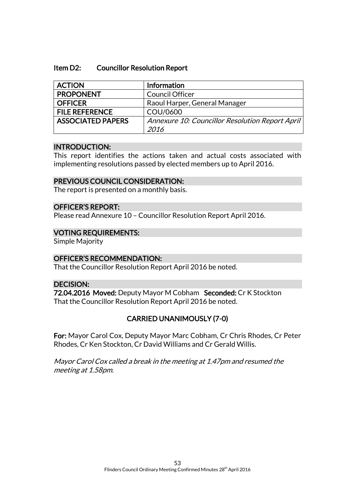#### Item D2: Councillor Resolution Report

| <b>ACTION</b>            | <b>Information</b>                              |
|--------------------------|-------------------------------------------------|
| <b>PROPONENT</b>         | <b>Council Officer</b>                          |
| <b>OFFICER</b>           | Raoul Harper, General Manager                   |
| <b>FILE REFERENCE</b>    | COU/0600                                        |
| <b>ASSOCIATED PAPERS</b> | Annexure 10: Councillor Resolution Report April |
|                          | 2016                                            |

#### INTRODUCTION:

This report identifies the actions taken and actual costs associated with implementing resolutions passed by elected members up to April 2016.

#### PREVIOUS COUNCIL CONSIDERATION:

The report is presented on a monthly basis.

#### OFFICER'S REPORT:

Please read Annexure 10 – Councillor Resolution Report April 2016.

#### VOTING REQUIREMENTS:

Simple Majority

#### OFFICER'S RECOMMENDATION:

That the Councillor Resolution Report April 2016 be noted.

#### DECISION:

72.04.2016 Moved: Deputy Mayor M Cobham Seconded: Cr K Stockton That the Councillor Resolution Report April 2016 be noted.

## CARRIED UNANIMOUSLY (7-0)

For: Mayor Carol Cox, Deputy Mayor Marc Cobham, Cr Chris Rhodes, Cr Peter Rhodes, Cr Ken Stockton, Cr David Williams and Cr Gerald Willis.

Mayor Carol Cox called a break in the meeting at 1.47pm and resumed the meeting at 1.58pm.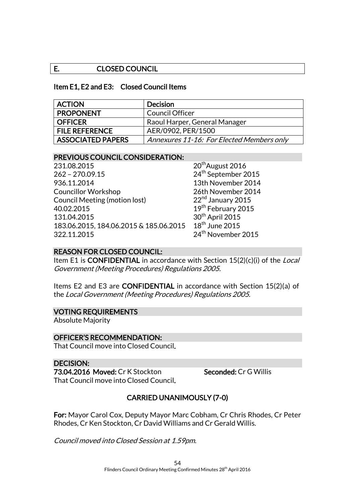## E. CLOSED COUNCIL

#### Item E1, E2 and E3: Closed Council Items

| <b>ACTION</b>            | <b>Decision</b>                           |
|--------------------------|-------------------------------------------|
| <b>PROPONENT</b>         | <b>Council Officer</b>                    |
| <b>OFFICER</b>           | Raoul Harper, General Manager             |
| <b>FILE REFERENCE</b>    | AER/0902, PER/1500                        |
| <b>ASSOCIATED PAPERS</b> | Annexures 11-16: For Elected Members only |

#### PREVIOUS COUNCIL CONSIDERATION:

231.08.2015 20th August 2016 262 – 270.09.15 24th September 2015 936.11.2014 13th November 2014 Councillor Workshop 26th November 2014 Council Meeting (motion lost) 22<sup>nd</sup> January 2015 40.02.2015 131.04.2015 30<sup>th</sup> April 2015<br>183.06.2015. 184.06.2015 & 185.06.2015 18<sup>th</sup> June 2015 183.06.2015, 184.06.2015 & 185.06.2015 322.11.2015 24th November 2015

19<sup>th</sup> February 2015

## REASON FOR CLOSED COUNCIL:

Item E1 is **CONFIDENTIAL** in accordance with Section 15(2)(c)(i) of the *Local* Government (Meeting Procedures) Regulations 2005.

Items E2 and E3 are CONFIDENTIAL in accordance with Section 15(2)(a) of the Local Government (Meeting Procedures) Regulations 2005.

#### VOTING REQUIREMENTS

Absolute Majority

#### OFFICER'S RECOMMENDATION:

That Council move into Closed Council.

#### DECISION:

73.04.2016 Moved: Cr K Stockton Seconded: Cr G Willis That Council move into Closed Council.

## CARRIED UNANIMOUSLY (7-0)

For: Mayor Carol Cox, Deputy Mayor Marc Cobham, Cr Chris Rhodes, Cr Peter Rhodes, Cr Ken Stockton, Cr David Williams and Cr Gerald Willis.

Council moved into Closed Session at 1.59pm.